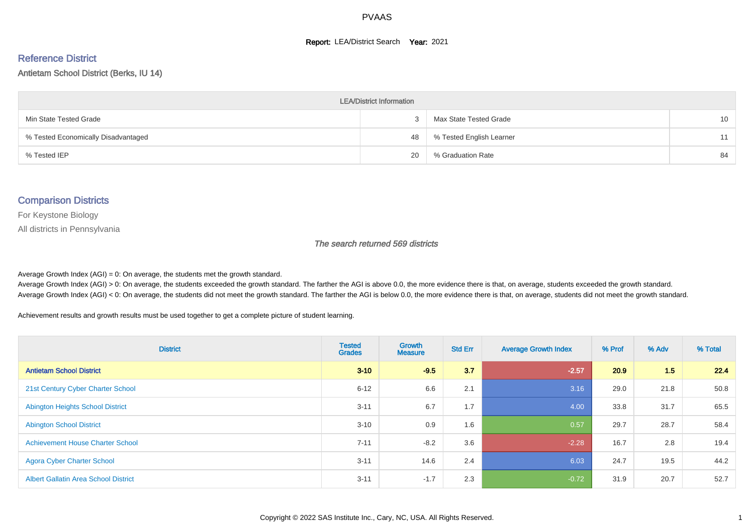#### **Report: LEA/District Search Year: 2021**

#### Reference District

#### Antietam School District (Berks, IU 14)

| <b>LEA/District Information</b>     |    |                          |    |  |  |  |  |  |  |
|-------------------------------------|----|--------------------------|----|--|--|--|--|--|--|
| Min State Tested Grade              |    | Max State Tested Grade   | 10 |  |  |  |  |  |  |
| % Tested Economically Disadvantaged | 48 | % Tested English Learner | 11 |  |  |  |  |  |  |
| % Tested IEP                        | 20 | % Graduation Rate        | 84 |  |  |  |  |  |  |

#### Comparison Districts

For Keystone Biology

All districts in Pennsylvania

The search returned 569 districts

Average Growth Index  $(AGI) = 0$ : On average, the students met the growth standard.

Average Growth Index (AGI) > 0: On average, the students exceeded the growth standard. The farther the AGI is above 0.0, the more evidence there is that, on average, students exceeded the growth standard. Average Growth Index (AGI) < 0: On average, the students did not meet the growth standard. The farther the AGI is below 0.0, the more evidence there is that, on average, students did not meet the growth standard.

Achievement results and growth results must be used together to get a complete picture of student learning.

| <b>District</b>                             | <b>Tested</b><br><b>Grades</b> | Growth<br><b>Measure</b> | <b>Std Err</b> | <b>Average Growth Index</b> | % Prof | % Adv | % Total |
|---------------------------------------------|--------------------------------|--------------------------|----------------|-----------------------------|--------|-------|---------|
| <b>Antietam School District</b>             | $3 - 10$                       | $-9.5$                   | 3.7            | $-2.57$                     | 20.9   | 1.5   | 22.4    |
| 21st Century Cyber Charter School           | $6 - 12$                       | 6.6                      | 2.1            | 3.16                        | 29.0   | 21.8  | 50.8    |
| <b>Abington Heights School District</b>     | $3 - 11$                       | 6.7                      | 1.7            | 4.00                        | 33.8   | 31.7  | 65.5    |
| <b>Abington School District</b>             | $3 - 10$                       | 0.9                      | 1.6            | 0.57                        | 29.7   | 28.7  | 58.4    |
| <b>Achievement House Charter School</b>     | $7 - 11$                       | $-8.2$                   | 3.6            | $-2.28$                     | 16.7   | 2.8   | 19.4    |
| <b>Agora Cyber Charter School</b>           | $3 - 11$                       | 14.6                     | 2.4            | 6.03                        | 24.7   | 19.5  | 44.2    |
| <b>Albert Gallatin Area School District</b> | $3 - 11$                       | $-1.7$                   | 2.3            | $-0.72$                     | 31.9   | 20.7  | 52.7    |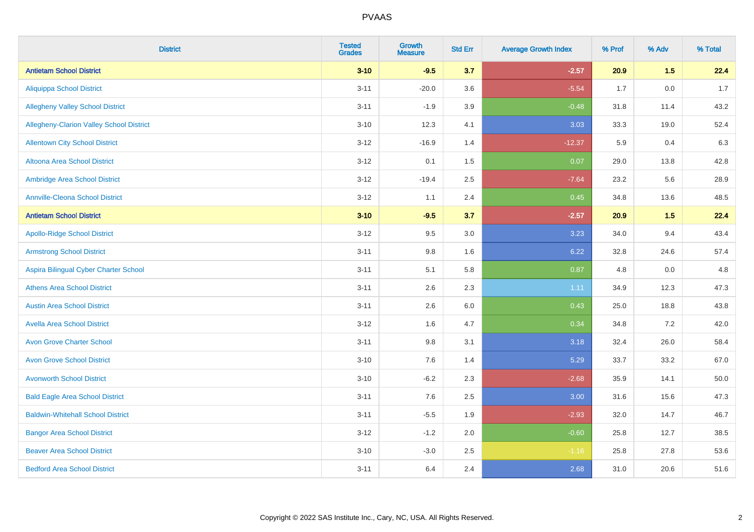| <b>District</b>                          | <b>Tested</b><br><b>Grades</b> | <b>Growth</b><br><b>Measure</b> | <b>Std Err</b> | <b>Average Growth Index</b> | % Prof | % Adv | % Total |
|------------------------------------------|--------------------------------|---------------------------------|----------------|-----------------------------|--------|-------|---------|
| <b>Antietam School District</b>          | $3 - 10$                       | $-9.5$                          | 3.7            | $-2.57$                     | 20.9   | 1.5   | 22.4    |
| <b>Aliquippa School District</b>         | $3 - 11$                       | $-20.0$                         | 3.6            | $-5.54$                     | 1.7    | 0.0   | 1.7     |
| <b>Allegheny Valley School District</b>  | $3 - 11$                       | $-1.9$                          | 3.9            | $-0.48$                     | 31.8   | 11.4  | 43.2    |
| Allegheny-Clarion Valley School District | $3 - 10$                       | 12.3                            | 4.1            | 3.03                        | 33.3   | 19.0  | 52.4    |
| <b>Allentown City School District</b>    | $3-12$                         | $-16.9$                         | 1.4            | $-12.37$                    | 5.9    | 0.4   | 6.3     |
| Altoona Area School District             | $3 - 12$                       | 0.1                             | 1.5            | 0.07                        | 29.0   | 13.8  | 42.8    |
| Ambridge Area School District            | $3 - 12$                       | $-19.4$                         | 2.5            | $-7.64$                     | 23.2   | 5.6   | 28.9    |
| <b>Annville-Cleona School District</b>   | $3-12$                         | 1.1                             | 2.4            | 0.45                        | 34.8   | 13.6  | 48.5    |
| <b>Antietam School District</b>          | $3 - 10$                       | $-9.5$                          | 3.7            | $-2.57$                     | 20.9   | 1.5   | 22.4    |
| <b>Apollo-Ridge School District</b>      | $3 - 12$                       | 9.5                             | 3.0            | 3.23                        | 34.0   | 9.4   | 43.4    |
| <b>Armstrong School District</b>         | $3 - 11$                       | $9.8\,$                         | 1.6            | 6.22                        | 32.8   | 24.6  | 57.4    |
| Aspira Bilingual Cyber Charter School    | $3 - 11$                       | 5.1                             | 5.8            | 0.87                        | 4.8    | 0.0   | 4.8     |
| <b>Athens Area School District</b>       | $3 - 11$                       | 2.6                             | 2.3            | 1.11                        | 34.9   | 12.3  | 47.3    |
| <b>Austin Area School District</b>       | $3 - 11$                       | 2.6                             | $6.0\,$        | 0.43                        | 25.0   | 18.8  | 43.8    |
| <b>Avella Area School District</b>       | $3 - 12$                       | 1.6                             | 4.7            | 0.34                        | 34.8   | 7.2   | 42.0    |
| <b>Avon Grove Charter School</b>         | $3 - 11$                       | $9.8\,$                         | 3.1            | 3.18                        | 32.4   | 26.0  | 58.4    |
| <b>Avon Grove School District</b>        | $3 - 10$                       | 7.6                             | 1.4            | 5.29                        | 33.7   | 33.2  | 67.0    |
| <b>Avonworth School District</b>         | $3 - 10$                       | $-6.2$                          | 2.3            | $-2.68$                     | 35.9   | 14.1  | 50.0    |
| <b>Bald Eagle Area School District</b>   | $3 - 11$                       | 7.6                             | 2.5            | 3.00                        | 31.6   | 15.6  | 47.3    |
| <b>Baldwin-Whitehall School District</b> | $3 - 11$                       | $-5.5$                          | 1.9            | $-2.93$                     | 32.0   | 14.7  | 46.7    |
| <b>Bangor Area School District</b>       | $3 - 12$                       | $-1.2$                          | 2.0            | $-0.60$                     | 25.8   | 12.7  | 38.5    |
| <b>Beaver Area School District</b>       | $3 - 10$                       | $-3.0$                          | 2.5            | $-1.16$                     | 25.8   | 27.8  | 53.6    |
| <b>Bedford Area School District</b>      | $3 - 11$                       | 6.4                             | 2.4            | 2.68                        | 31.0   | 20.6  | 51.6    |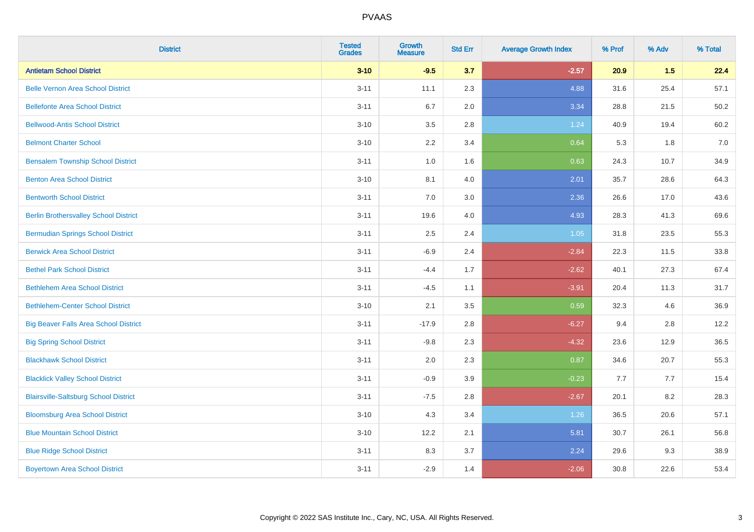| <b>District</b>                              | <b>Tested</b><br><b>Grades</b> | <b>Growth</b><br><b>Measure</b> | <b>Std Err</b> | <b>Average Growth Index</b> | % Prof | % Adv | % Total |
|----------------------------------------------|--------------------------------|---------------------------------|----------------|-----------------------------|--------|-------|---------|
| <b>Antietam School District</b>              | $3 - 10$                       | $-9.5$                          | 3.7            | $-2.57$                     | 20.9   | 1.5   | 22.4    |
| <b>Belle Vernon Area School District</b>     | $3 - 11$                       | 11.1                            | 2.3            | 4.88                        | 31.6   | 25.4  | 57.1    |
| <b>Bellefonte Area School District</b>       | $3 - 11$                       | 6.7                             | 2.0            | 3.34                        | 28.8   | 21.5  | 50.2    |
| <b>Bellwood-Antis School District</b>        | $3 - 10$                       | 3.5                             | 2.8            | 1.24                        | 40.9   | 19.4  | 60.2    |
| <b>Belmont Charter School</b>                | $3 - 10$                       | 2.2                             | 3.4            | 0.64                        | 5.3    | 1.8   | 7.0     |
| <b>Bensalem Township School District</b>     | $3 - 11$                       | $1.0\,$                         | 1.6            | 0.63                        | 24.3   | 10.7  | 34.9    |
| <b>Benton Area School District</b>           | $3 - 10$                       | 8.1                             | 4.0            | 2.01                        | 35.7   | 28.6  | 64.3    |
| <b>Bentworth School District</b>             | $3 - 11$                       | 7.0                             | 3.0            | 2.36                        | 26.6   | 17.0  | 43.6    |
| <b>Berlin Brothersvalley School District</b> | $3 - 11$                       | 19.6                            | 4.0            | 4.93                        | 28.3   | 41.3  | 69.6    |
| <b>Bermudian Springs School District</b>     | $3 - 11$                       | 2.5                             | 2.4            | 1.05                        | 31.8   | 23.5  | 55.3    |
| <b>Berwick Area School District</b>          | $3 - 11$                       | $-6.9$                          | 2.4            | $-2.84$                     | 22.3   | 11.5  | 33.8    |
| <b>Bethel Park School District</b>           | $3 - 11$                       | $-4.4$                          | 1.7            | $-2.62$                     | 40.1   | 27.3  | 67.4    |
| <b>Bethlehem Area School District</b>        | $3 - 11$                       | $-4.5$                          | 1.1            | $-3.91$                     | 20.4   | 11.3  | 31.7    |
| <b>Bethlehem-Center School District</b>      | $3 - 10$                       | 2.1                             | 3.5            | 0.59                        | 32.3   | 4.6   | 36.9    |
| <b>Big Beaver Falls Area School District</b> | $3 - 11$                       | $-17.9$                         | 2.8            | $-6.27$                     | 9.4    | 2.8   | 12.2    |
| <b>Big Spring School District</b>            | $3 - 11$                       | $-9.8$                          | 2.3            | $-4.32$                     | 23.6   | 12.9  | 36.5    |
| <b>Blackhawk School District</b>             | $3 - 11$                       | 2.0                             | 2.3            | 0.87                        | 34.6   | 20.7  | 55.3    |
| <b>Blacklick Valley School District</b>      | $3 - 11$                       | $-0.9$                          | 3.9            | $-0.23$                     | 7.7    | 7.7   | 15.4    |
| <b>Blairsville-Saltsburg School District</b> | $3 - 11$                       | $-7.5$                          | 2.8            | $-2.67$                     | 20.1   | 8.2   | 28.3    |
| <b>Bloomsburg Area School District</b>       | $3 - 10$                       | 4.3                             | 3.4            | 1.26                        | 36.5   | 20.6  | 57.1    |
| <b>Blue Mountain School District</b>         | $3 - 10$                       | 12.2                            | 2.1            | 5.81                        | 30.7   | 26.1  | 56.8    |
| <b>Blue Ridge School District</b>            | $3 - 11$                       | 8.3                             | 3.7            | 2.24                        | 29.6   | 9.3   | 38.9    |
| <b>Boyertown Area School District</b>        | $3 - 11$                       | $-2.9$                          | 1.4            | $-2.06$                     | 30.8   | 22.6  | 53.4    |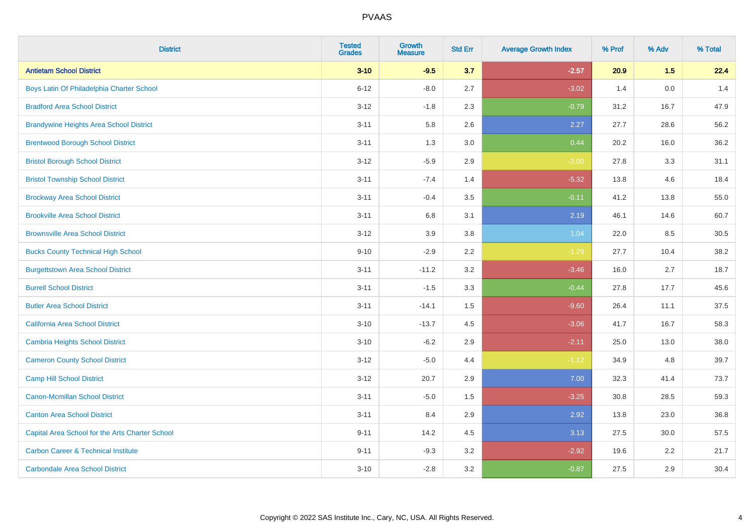| <b>District</b>                                 | <b>Tested</b><br><b>Grades</b> | <b>Growth</b><br><b>Measure</b> | <b>Std Err</b> | <b>Average Growth Index</b> | % Prof | % Adv   | % Total |
|-------------------------------------------------|--------------------------------|---------------------------------|----------------|-----------------------------|--------|---------|---------|
| <b>Antietam School District</b>                 | $3 - 10$                       | $-9.5$                          | 3.7            | $-2.57$                     | 20.9   | 1.5     | 22.4    |
| Boys Latin Of Philadelphia Charter School       | $6 - 12$                       | $-8.0$                          | 2.7            | $-3.02$                     | 1.4    | $0.0\,$ | 1.4     |
| <b>Bradford Area School District</b>            | $3 - 12$                       | $-1.8$                          | 2.3            | $-0.79$                     | 31.2   | 16.7    | 47.9    |
| <b>Brandywine Heights Area School District</b>  | $3 - 11$                       | 5.8                             | 2.6            | 2.27                        | 27.7   | 28.6    | 56.2    |
| <b>Brentwood Borough School District</b>        | $3 - 11$                       | 1.3                             | 3.0            | 0.44                        | 20.2   | 16.0    | 36.2    |
| <b>Bristol Borough School District</b>          | $3 - 12$                       | $-5.9$                          | 2.9            | $-2.00$                     | 27.8   | 3.3     | 31.1    |
| <b>Bristol Township School District</b>         | $3 - 11$                       | $-7.4$                          | 1.4            | $-5.32$                     | 13.8   | 4.6     | 18.4    |
| <b>Brockway Area School District</b>            | $3 - 11$                       | $-0.4$                          | 3.5            | $-0.11$                     | 41.2   | 13.8    | 55.0    |
| <b>Brookville Area School District</b>          | $3 - 11$                       | 6.8                             | 3.1            | 2.19                        | 46.1   | 14.6    | 60.7    |
| <b>Brownsville Area School District</b>         | $3 - 12$                       | 3.9                             | 3.8            | 1.04                        | 22.0   | 8.5     | 30.5    |
| <b>Bucks County Technical High School</b>       | $9 - 10$                       | $-2.9$                          | 2.2            | $-1.29$                     | 27.7   | 10.4    | 38.2    |
| <b>Burgettstown Area School District</b>        | $3 - 11$                       | $-11.2$                         | 3.2            | $-3.46$                     | 16.0   | 2.7     | 18.7    |
| <b>Burrell School District</b>                  | $3 - 11$                       | $-1.5$                          | 3.3            | $-0.44$                     | 27.8   | 17.7    | 45.6    |
| <b>Butler Area School District</b>              | $3 - 11$                       | $-14.1$                         | $1.5$          | $-9.60$                     | 26.4   | 11.1    | 37.5    |
| California Area School District                 | $3 - 10$                       | $-13.7$                         | 4.5            | $-3.06$                     | 41.7   | 16.7    | 58.3    |
| <b>Cambria Heights School District</b>          | $3 - 10$                       | $-6.2$                          | 2.9            | $-2.11$                     | 25.0   | 13.0    | 38.0    |
| <b>Cameron County School District</b>           | $3 - 12$                       | $-5.0$                          | 4.4            | $-1.12$                     | 34.9   | 4.8     | 39.7    |
| <b>Camp Hill School District</b>                | $3 - 12$                       | 20.7                            | 2.9            | 7.00                        | 32.3   | 41.4    | 73.7    |
| <b>Canon-Mcmillan School District</b>           | $3 - 11$                       | $-5.0$                          | $1.5$          | $-3.25$                     | 30.8   | 28.5    | 59.3    |
| <b>Canton Area School District</b>              | $3 - 11$                       | 8.4                             | 2.9            | 2.92                        | 13.8   | 23.0    | 36.8    |
| Capital Area School for the Arts Charter School | $9 - 11$                       | 14.2                            | 4.5            | 3.13                        | 27.5   | 30.0    | 57.5    |
| <b>Carbon Career &amp; Technical Institute</b>  | $9 - 11$                       | $-9.3$                          | 3.2            | $-2.92$                     | 19.6   | 2.2     | 21.7    |
| <b>Carbondale Area School District</b>          | $3 - 10$                       | $-2.8$                          | 3.2            | $-0.87$                     | 27.5   | 2.9     | 30.4    |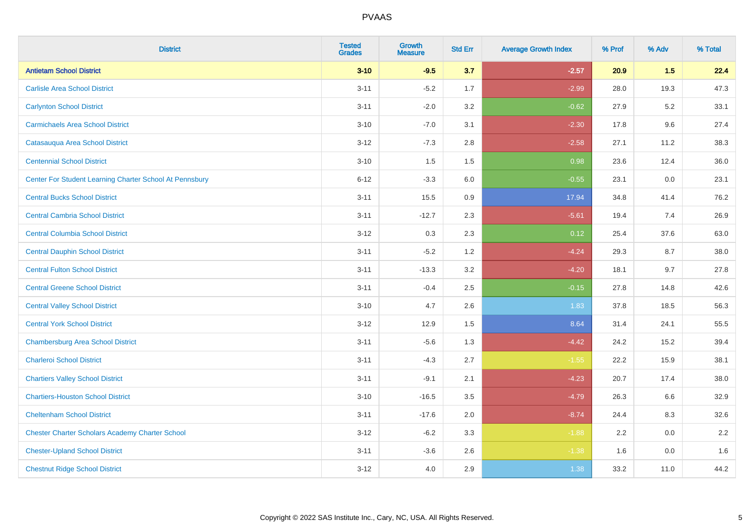| <b>District</b>                                         | <b>Tested</b><br><b>Grades</b> | <b>Growth</b><br><b>Measure</b> | <b>Std Err</b> | <b>Average Growth Index</b> | % Prof | % Adv   | % Total |
|---------------------------------------------------------|--------------------------------|---------------------------------|----------------|-----------------------------|--------|---------|---------|
| <b>Antietam School District</b>                         | $3 - 10$                       | $-9.5$                          | 3.7            | $-2.57$                     | 20.9   | 1.5     | 22.4    |
| <b>Carlisle Area School District</b>                    | $3 - 11$                       | $-5.2$                          | 1.7            | $-2.99$                     | 28.0   | 19.3    | 47.3    |
| <b>Carlynton School District</b>                        | $3 - 11$                       | $-2.0$                          | 3.2            | $-0.62$                     | 27.9   | $5.2\,$ | 33.1    |
| <b>Carmichaels Area School District</b>                 | $3 - 10$                       | $-7.0$                          | 3.1            | $-2.30$                     | 17.8   | 9.6     | 27.4    |
| Catasauqua Area School District                         | $3-12$                         | $-7.3$                          | 2.8            | $-2.58$                     | 27.1   | 11.2    | 38.3    |
| <b>Centennial School District</b>                       | $3 - 10$                       | 1.5                             | 1.5            | 0.98                        | 23.6   | 12.4    | 36.0    |
| Center For Student Learning Charter School At Pennsbury | $6 - 12$                       | $-3.3$                          | 6.0            | $-0.55$                     | 23.1   | 0.0     | 23.1    |
| <b>Central Bucks School District</b>                    | $3 - 11$                       | 15.5                            | 0.9            | 17.94                       | 34.8   | 41.4    | 76.2    |
| <b>Central Cambria School District</b>                  | $3 - 11$                       | $-12.7$                         | 2.3            | $-5.61$                     | 19.4   | 7.4     | 26.9    |
| <b>Central Columbia School District</b>                 | $3 - 12$                       | 0.3                             | 2.3            | 0.12                        | 25.4   | 37.6    | 63.0    |
| <b>Central Dauphin School District</b>                  | $3 - 11$                       | $-5.2$                          | 1.2            | $-4.24$                     | 29.3   | 8.7     | 38.0    |
| <b>Central Fulton School District</b>                   | $3 - 11$                       | $-13.3$                         | 3.2            | $-4.20$                     | 18.1   | 9.7     | 27.8    |
| <b>Central Greene School District</b>                   | $3 - 11$                       | $-0.4$                          | 2.5            | $-0.15$                     | 27.8   | 14.8    | 42.6    |
| <b>Central Valley School District</b>                   | $3 - 10$                       | 4.7                             | 2.6            | 1.83                        | 37.8   | 18.5    | 56.3    |
| <b>Central York School District</b>                     | $3-12$                         | 12.9                            | 1.5            | 8.64                        | 31.4   | 24.1    | 55.5    |
| <b>Chambersburg Area School District</b>                | $3 - 11$                       | $-5.6$                          | 1.3            | $-4.42$                     | 24.2   | 15.2    | 39.4    |
| <b>Charleroi School District</b>                        | $3 - 11$                       | $-4.3$                          | 2.7            | $-1.55$                     | 22.2   | 15.9    | 38.1    |
| <b>Chartiers Valley School District</b>                 | $3 - 11$                       | $-9.1$                          | 2.1            | $-4.23$                     | 20.7   | 17.4    | 38.0    |
| <b>Chartiers-Houston School District</b>                | $3 - 10$                       | $-16.5$                         | 3.5            | $-4.79$                     | 26.3   | 6.6     | 32.9    |
| <b>Cheltenham School District</b>                       | $3 - 11$                       | $-17.6$                         | 2.0            | $-8.74$                     | 24.4   | 8.3     | 32.6    |
| <b>Chester Charter Scholars Academy Charter School</b>  | $3 - 12$                       | $-6.2$                          | 3.3            | $-1.88$                     | 2.2    | 0.0     | 2.2     |
| <b>Chester-Upland School District</b>                   | $3 - 11$                       | $-3.6$                          | 2.6            | $-1.38$                     | 1.6    | 0.0     | 1.6     |
| <b>Chestnut Ridge School District</b>                   | $3 - 12$                       | 4.0                             | 2.9            | 1.38                        | 33.2   | 11.0    | 44.2    |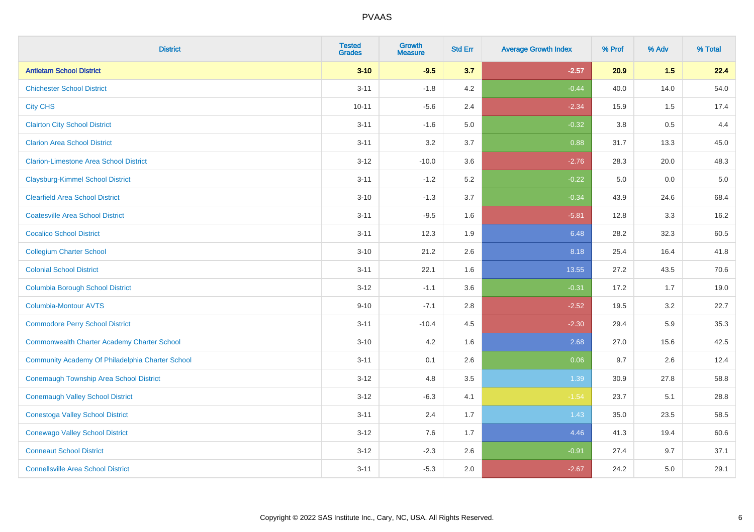| <b>District</b>                                    | <b>Tested</b><br><b>Grades</b> | <b>Growth</b><br><b>Measure</b> | <b>Std Err</b> | <b>Average Growth Index</b> | % Prof | % Adv   | % Total |
|----------------------------------------------------|--------------------------------|---------------------------------|----------------|-----------------------------|--------|---------|---------|
| <b>Antietam School District</b>                    | $3 - 10$                       | $-9.5$                          | 3.7            | $-2.57$                     | 20.9   | 1.5     | 22.4    |
| <b>Chichester School District</b>                  | $3 - 11$                       | $-1.8$                          | 4.2            | $-0.44$                     | 40.0   | 14.0    | 54.0    |
| <b>City CHS</b>                                    | $10 - 11$                      | $-5.6$                          | 2.4            | $-2.34$                     | 15.9   | 1.5     | 17.4    |
| <b>Clairton City School District</b>               | $3 - 11$                       | $-1.6$                          | $5.0\,$        | $-0.32$                     | 3.8    | $0.5\,$ | 4.4     |
| <b>Clarion Area School District</b>                | $3 - 11$                       | 3.2                             | 3.7            | 0.88                        | 31.7   | 13.3    | 45.0    |
| <b>Clarion-Limestone Area School District</b>      | $3 - 12$                       | $-10.0$                         | 3.6            | $-2.76$                     | 28.3   | 20.0    | 48.3    |
| <b>Claysburg-Kimmel School District</b>            | $3 - 11$                       | $-1.2$                          | 5.2            | $-0.22$                     | 5.0    | 0.0     | $5.0$   |
| <b>Clearfield Area School District</b>             | $3 - 10$                       | $-1.3$                          | 3.7            | $-0.34$                     | 43.9   | 24.6    | 68.4    |
| <b>Coatesville Area School District</b>            | $3 - 11$                       | $-9.5$                          | 1.6            | $-5.81$                     | 12.8   | 3.3     | 16.2    |
| <b>Cocalico School District</b>                    | $3 - 11$                       | 12.3                            | 1.9            | 6.48                        | 28.2   | 32.3    | 60.5    |
| <b>Collegium Charter School</b>                    | $3 - 10$                       | 21.2                            | 2.6            | 8.18                        | 25.4   | 16.4    | 41.8    |
| <b>Colonial School District</b>                    | $3 - 11$                       | 22.1                            | 1.6            | 13.55                       | 27.2   | 43.5    | 70.6    |
| <b>Columbia Borough School District</b>            | $3 - 12$                       | $-1.1$                          | 3.6            | $-0.31$                     | 17.2   | 1.7     | 19.0    |
| <b>Columbia-Montour AVTS</b>                       | $9 - 10$                       | $-7.1$                          | 2.8            | $-2.52$                     | 19.5   | 3.2     | 22.7    |
| <b>Commodore Perry School District</b>             | $3 - 11$                       | $-10.4$                         | 4.5            | $-2.30$                     | 29.4   | 5.9     | 35.3    |
| <b>Commonwealth Charter Academy Charter School</b> | $3 - 10$                       | 4.2                             | 1.6            | 2.68                        | 27.0   | 15.6    | 42.5    |
| Community Academy Of Philadelphia Charter School   | $3 - 11$                       | 0.1                             | 2.6            | 0.06                        | 9.7    | 2.6     | 12.4    |
| <b>Conemaugh Township Area School District</b>     | $3 - 12$                       | 4.8                             | 3.5            | 1.39                        | 30.9   | 27.8    | 58.8    |
| <b>Conemaugh Valley School District</b>            | $3 - 12$                       | $-6.3$                          | 4.1            | $-1.54$                     | 23.7   | 5.1     | 28.8    |
| <b>Conestoga Valley School District</b>            | $3 - 11$                       | 2.4                             | 1.7            | 1.43                        | 35.0   | 23.5    | 58.5    |
| <b>Conewago Valley School District</b>             | $3 - 12$                       | 7.6                             | 1.7            | 4.46                        | 41.3   | 19.4    | 60.6    |
| <b>Conneaut School District</b>                    | $3 - 12$                       | $-2.3$                          | 2.6            | $-0.91$                     | 27.4   | 9.7     | 37.1    |
| <b>Connellsville Area School District</b>          | $3 - 11$                       | $-5.3$                          | 2.0            | $-2.67$                     | 24.2   | 5.0     | 29.1    |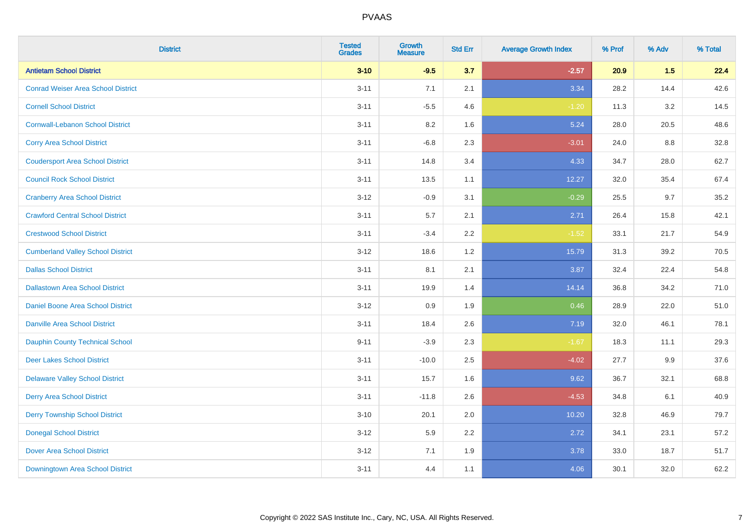| <b>District</b>                           | <b>Tested</b><br><b>Grades</b> | Growth<br><b>Measure</b> | <b>Std Err</b> | <b>Average Growth Index</b> | % Prof | % Adv | % Total |
|-------------------------------------------|--------------------------------|--------------------------|----------------|-----------------------------|--------|-------|---------|
| <b>Antietam School District</b>           | $3 - 10$                       | $-9.5$                   | 3.7            | $-2.57$                     | 20.9   | 1.5   | 22.4    |
| <b>Conrad Weiser Area School District</b> | $3 - 11$                       | 7.1                      | 2.1            | 3.34                        | 28.2   | 14.4  | 42.6    |
| <b>Cornell School District</b>            | $3 - 11$                       | $-5.5$                   | 4.6            | $-1.20$                     | 11.3   | 3.2   | 14.5    |
| <b>Cornwall-Lebanon School District</b>   | $3 - 11$                       | $8.2\,$                  | 1.6            | 5.24                        | 28.0   | 20.5  | 48.6    |
| <b>Corry Area School District</b>         | $3 - 11$                       | $-6.8$                   | 2.3            | $-3.01$                     | 24.0   | 8.8   | 32.8    |
| <b>Coudersport Area School District</b>   | $3 - 11$                       | 14.8                     | 3.4            | 4.33                        | 34.7   | 28.0  | 62.7    |
| <b>Council Rock School District</b>       | $3 - 11$                       | 13.5                     | 1.1            | 12.27                       | 32.0   | 35.4  | 67.4    |
| <b>Cranberry Area School District</b>     | $3 - 12$                       | $-0.9$                   | 3.1            | $-0.29$                     | 25.5   | 9.7   | 35.2    |
| <b>Crawford Central School District</b>   | $3 - 11$                       | 5.7                      | 2.1            | 2.71                        | 26.4   | 15.8  | 42.1    |
| <b>Crestwood School District</b>          | $3 - 11$                       | $-3.4$                   | $2.2\,$        | $-1.52$                     | 33.1   | 21.7  | 54.9    |
| <b>Cumberland Valley School District</b>  | $3 - 12$                       | 18.6                     | 1.2            | 15.79                       | 31.3   | 39.2  | 70.5    |
| <b>Dallas School District</b>             | $3 - 11$                       | 8.1                      | 2.1            | 3.87                        | 32.4   | 22.4  | 54.8    |
| <b>Dallastown Area School District</b>    | $3 - 11$                       | 19.9                     | 1.4            | 14.14                       | 36.8   | 34.2  | 71.0    |
| Daniel Boone Area School District         | $3 - 12$                       | 0.9                      | 1.9            | 0.46                        | 28.9   | 22.0  | 51.0    |
| <b>Danville Area School District</b>      | $3 - 11$                       | 18.4                     | 2.6            | 7.19                        | 32.0   | 46.1  | 78.1    |
| <b>Dauphin County Technical School</b>    | $9 - 11$                       | $-3.9$                   | 2.3            | $-1.67$                     | 18.3   | 11.1  | 29.3    |
| <b>Deer Lakes School District</b>         | $3 - 11$                       | $-10.0$                  | 2.5            | $-4.02$                     | 27.7   | 9.9   | 37.6    |
| <b>Delaware Valley School District</b>    | $3 - 11$                       | 15.7                     | 1.6            | 9.62                        | 36.7   | 32.1  | 68.8    |
| <b>Derry Area School District</b>         | $3 - 11$                       | $-11.8$                  | 2.6            | $-4.53$                     | 34.8   | 6.1   | 40.9    |
| <b>Derry Township School District</b>     | $3 - 10$                       | 20.1                     | 2.0            | 10.20                       | 32.8   | 46.9  | 79.7    |
| <b>Donegal School District</b>            | $3 - 12$                       | 5.9                      | 2.2            | 2.72                        | 34.1   | 23.1  | 57.2    |
| <b>Dover Area School District</b>         | $3 - 12$                       | 7.1                      | 1.9            | 3.78                        | 33.0   | 18.7  | 51.7    |
| Downingtown Area School District          | $3 - 11$                       | 4.4                      | 1.1            | 4.06                        | 30.1   | 32.0  | 62.2    |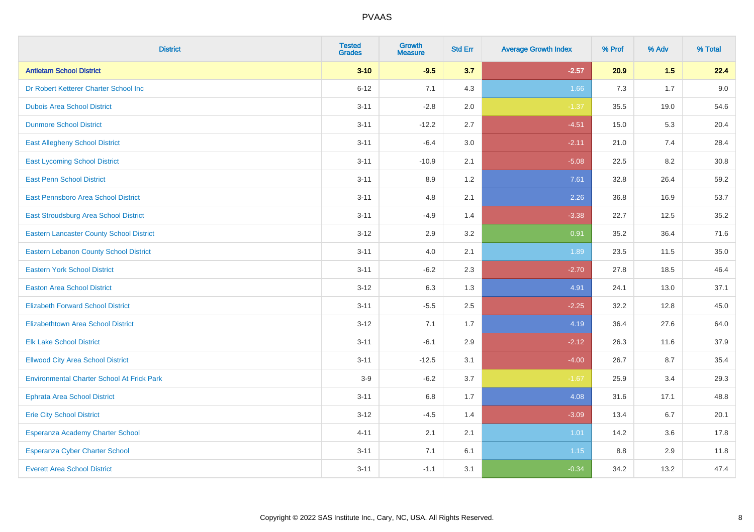| <b>District</b>                                   | <b>Tested</b><br><b>Grades</b> | <b>Growth</b><br><b>Measure</b> | <b>Std Err</b> | <b>Average Growth Index</b> | % Prof | % Adv | % Total |
|---------------------------------------------------|--------------------------------|---------------------------------|----------------|-----------------------------|--------|-------|---------|
| <b>Antietam School District</b>                   | $3 - 10$                       | $-9.5$                          | 3.7            | $-2.57$                     | 20.9   | 1.5   | 22.4    |
| Dr Robert Ketterer Charter School Inc             | $6 - 12$                       | 7.1                             | 4.3            | 1.66                        | 7.3    | 1.7   | 9.0     |
| <b>Dubois Area School District</b>                | $3 - 11$                       | $-2.8$                          | 2.0            | $-1.37$                     | 35.5   | 19.0  | 54.6    |
| <b>Dunmore School District</b>                    | $3 - 11$                       | $-12.2$                         | 2.7            | $-4.51$                     | 15.0   | 5.3   | 20.4    |
| <b>East Allegheny School District</b>             | $3 - 11$                       | $-6.4$                          | 3.0            | $-2.11$                     | 21.0   | 7.4   | 28.4    |
| <b>East Lycoming School District</b>              | $3 - 11$                       | $-10.9$                         | 2.1            | $-5.08$                     | 22.5   | 8.2   | 30.8    |
| <b>East Penn School District</b>                  | $3 - 11$                       | 8.9                             | 1.2            | 7.61                        | 32.8   | 26.4  | 59.2    |
| East Pennsboro Area School District               | $3 - 11$                       | 4.8                             | 2.1            | 2.26                        | 36.8   | 16.9  | 53.7    |
| <b>East Stroudsburg Area School District</b>      | $3 - 11$                       | $-4.9$                          | 1.4            | $-3.38$                     | 22.7   | 12.5  | 35.2    |
| <b>Eastern Lancaster County School District</b>   | $3 - 12$                       | 2.9                             | 3.2            | 0.91                        | 35.2   | 36.4  | 71.6    |
| <b>Eastern Lebanon County School District</b>     | $3 - 11$                       | 4.0                             | 2.1            | 1.89                        | 23.5   | 11.5  | 35.0    |
| <b>Eastern York School District</b>               | $3 - 11$                       | $-6.2$                          | 2.3            | $-2.70$                     | 27.8   | 18.5  | 46.4    |
| <b>Easton Area School District</b>                | $3 - 12$                       | 6.3                             | 1.3            | 4.91                        | 24.1   | 13.0  | 37.1    |
| <b>Elizabeth Forward School District</b>          | $3 - 11$                       | $-5.5$                          | 2.5            | $-2.25$                     | 32.2   | 12.8  | 45.0    |
| <b>Elizabethtown Area School District</b>         | $3 - 12$                       | 7.1                             | 1.7            | 4.19                        | 36.4   | 27.6  | 64.0    |
| <b>Elk Lake School District</b>                   | $3 - 11$                       | $-6.1$                          | 2.9            | $-2.12$                     | 26.3   | 11.6  | 37.9    |
| <b>Ellwood City Area School District</b>          | $3 - 11$                       | $-12.5$                         | 3.1            | $-4.00$                     | 26.7   | 8.7   | 35.4    |
| <b>Environmental Charter School At Frick Park</b> | $3-9$                          | $-6.2$                          | 3.7            | $-1.67$                     | 25.9   | 3.4   | 29.3    |
| <b>Ephrata Area School District</b>               | $3 - 11$                       | $6.8\,$                         | 1.7            | 4.08                        | 31.6   | 17.1  | 48.8    |
| <b>Erie City School District</b>                  | $3 - 12$                       | $-4.5$                          | 1.4            | $-3.09$                     | 13.4   | 6.7   | 20.1    |
| Esperanza Academy Charter School                  | $4 - 11$                       | 2.1                             | 2.1            | 1.01                        | 14.2   | 3.6   | 17.8    |
| <b>Esperanza Cyber Charter School</b>             | $3 - 11$                       | 7.1                             | 6.1            | 1.15                        | 8.8    | 2.9   | 11.8    |
| <b>Everett Area School District</b>               | $3 - 11$                       | $-1.1$                          | 3.1            | $-0.34$                     | 34.2   | 13.2  | 47.4    |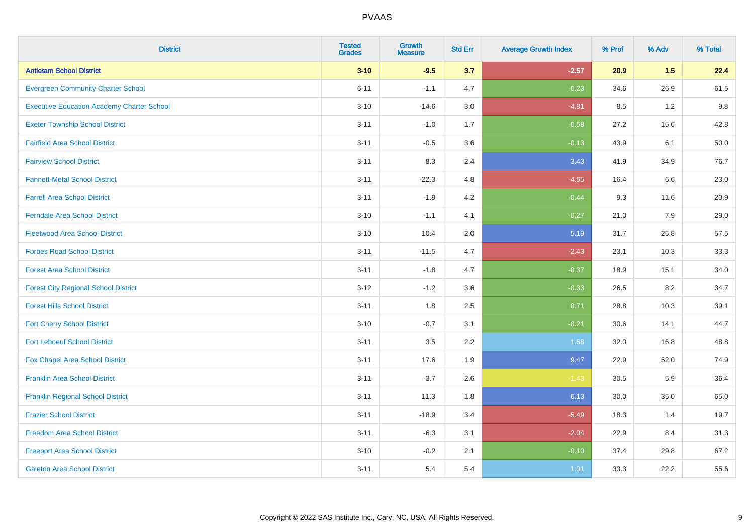| <b>District</b>                                   | <b>Tested</b><br><b>Grades</b> | <b>Growth</b><br><b>Measure</b> | <b>Std Err</b> | <b>Average Growth Index</b> | % Prof | % Adv | % Total |
|---------------------------------------------------|--------------------------------|---------------------------------|----------------|-----------------------------|--------|-------|---------|
| <b>Antietam School District</b>                   | $3 - 10$                       | $-9.5$                          | 3.7            | $-2.57$                     | 20.9   | 1.5   | 22.4    |
| <b>Evergreen Community Charter School</b>         | $6 - 11$                       | $-1.1$                          | 4.7            | $-0.23$                     | 34.6   | 26.9  | 61.5    |
| <b>Executive Education Academy Charter School</b> | $3 - 10$                       | $-14.6$                         | 3.0            | $-4.81$                     | 8.5    | 1.2   | 9.8     |
| <b>Exeter Township School District</b>            | $3 - 11$                       | $-1.0$                          | 1.7            | $-0.58$                     | 27.2   | 15.6  | 42.8    |
| <b>Fairfield Area School District</b>             | $3 - 11$                       | $-0.5$                          | 3.6            | $-0.13$                     | 43.9   | 6.1   | 50.0    |
| <b>Fairview School District</b>                   | $3 - 11$                       | 8.3                             | 2.4            | 3.43                        | 41.9   | 34.9  | 76.7    |
| <b>Fannett-Metal School District</b>              | $3 - 11$                       | $-22.3$                         | 4.8            | $-4.65$                     | 16.4   | 6.6   | 23.0    |
| <b>Farrell Area School District</b>               | $3 - 11$                       | $-1.9$                          | 4.2            | $-0.44$                     | 9.3    | 11.6  | 20.9    |
| <b>Ferndale Area School District</b>              | $3 - 10$                       | $-1.1$                          | 4.1            | $-0.27$                     | 21.0   | 7.9   | 29.0    |
| <b>Fleetwood Area School District</b>             | $3 - 10$                       | 10.4                            | 2.0            | 5.19                        | 31.7   | 25.8  | 57.5    |
| <b>Forbes Road School District</b>                | $3 - 11$                       | $-11.5$                         | 4.7            | $-2.43$                     | 23.1   | 10.3  | 33.3    |
| <b>Forest Area School District</b>                | $3 - 11$                       | $-1.8$                          | 4.7            | $-0.37$                     | 18.9   | 15.1  | 34.0    |
| <b>Forest City Regional School District</b>       | $3 - 12$                       | $-1.2$                          | 3.6            | $-0.33$                     | 26.5   | 8.2   | 34.7    |
| <b>Forest Hills School District</b>               | $3 - 11$                       | 1.8                             | 2.5            | 0.71                        | 28.8   | 10.3  | 39.1    |
| <b>Fort Cherry School District</b>                | $3 - 10$                       | $-0.7$                          | 3.1            | $-0.21$                     | 30.6   | 14.1  | 44.7    |
| <b>Fort Leboeuf School District</b>               | $3 - 11$                       | 3.5                             | 2.2            | 1.58                        | 32.0   | 16.8  | 48.8    |
| Fox Chapel Area School District                   | $3 - 11$                       | 17.6                            | 1.9            | 9.47                        | 22.9   | 52.0  | 74.9    |
| <b>Franklin Area School District</b>              | $3 - 11$                       | $-3.7$                          | 2.6            | $-1.43$                     | 30.5   | 5.9   | 36.4    |
| <b>Franklin Regional School District</b>          | $3 - 11$                       | 11.3                            | 1.8            | 6.13                        | 30.0   | 35.0  | 65.0    |
| <b>Frazier School District</b>                    | $3 - 11$                       | $-18.9$                         | 3.4            | $-5.49$                     | 18.3   | 1.4   | 19.7    |
| <b>Freedom Area School District</b>               | $3 - 11$                       | $-6.3$                          | 3.1            | $-2.04$                     | 22.9   | 8.4   | 31.3    |
| <b>Freeport Area School District</b>              | $3 - 10$                       | $-0.2$                          | 2.1            | $-0.10$                     | 37.4   | 29.8  | 67.2    |
| <b>Galeton Area School District</b>               | $3 - 11$                       | 5.4                             | 5.4            | 1.01                        | 33.3   | 22.2  | 55.6    |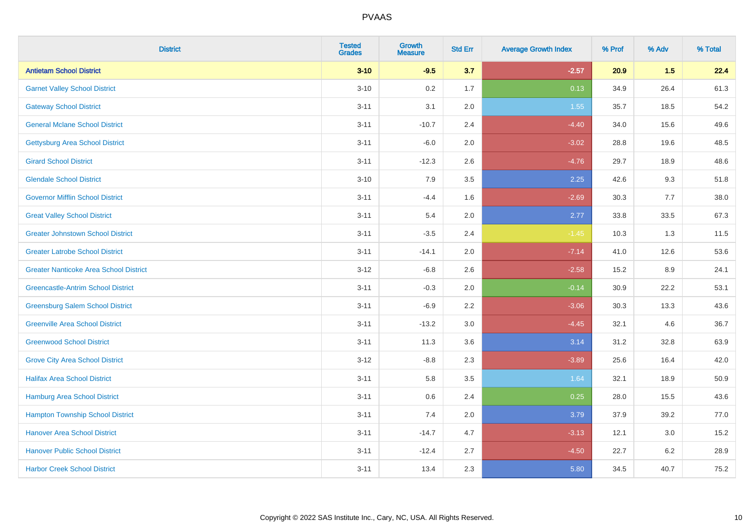| <b>District</b>                               | <b>Tested</b><br><b>Grades</b> | <b>Growth</b><br><b>Measure</b> | <b>Std Err</b> | <b>Average Growth Index</b> | % Prof | % Adv | % Total |
|-----------------------------------------------|--------------------------------|---------------------------------|----------------|-----------------------------|--------|-------|---------|
| <b>Antietam School District</b>               | $3 - 10$                       | $-9.5$                          | 3.7            | $-2.57$                     | 20.9   | 1.5   | 22.4    |
| <b>Garnet Valley School District</b>          | $3 - 10$                       | 0.2                             | 1.7            | 0.13                        | 34.9   | 26.4  | 61.3    |
| <b>Gateway School District</b>                | $3 - 11$                       | 3.1                             | 2.0            | 1.55                        | 35.7   | 18.5  | 54.2    |
| <b>General Mclane School District</b>         | $3 - 11$                       | $-10.7$                         | 2.4            | $-4.40$                     | 34.0   | 15.6  | 49.6    |
| <b>Gettysburg Area School District</b>        | $3 - 11$                       | $-6.0$                          | 2.0            | $-3.02$                     | 28.8   | 19.6  | 48.5    |
| <b>Girard School District</b>                 | $3 - 11$                       | $-12.3$                         | 2.6            | $-4.76$                     | 29.7   | 18.9  | 48.6    |
| <b>Glendale School District</b>               | $3 - 10$                       | 7.9                             | 3.5            | 2.25                        | 42.6   | 9.3   | 51.8    |
| <b>Governor Mifflin School District</b>       | $3 - 11$                       | $-4.4$                          | 1.6            | $-2.69$                     | 30.3   | 7.7   | 38.0    |
| <b>Great Valley School District</b>           | $3 - 11$                       | 5.4                             | 2.0            | 2.77                        | 33.8   | 33.5  | 67.3    |
| <b>Greater Johnstown School District</b>      | $3 - 11$                       | $-3.5$                          | 2.4            | $-1.45$                     | 10.3   | 1.3   | 11.5    |
| <b>Greater Latrobe School District</b>        | $3 - 11$                       | $-14.1$                         | 2.0            | $-7.14$                     | 41.0   | 12.6  | 53.6    |
| <b>Greater Nanticoke Area School District</b> | $3 - 12$                       | $-6.8$                          | 2.6            | $-2.58$                     | 15.2   | 8.9   | 24.1    |
| <b>Greencastle-Antrim School District</b>     | $3 - 11$                       | $-0.3$                          | 2.0            | $-0.14$                     | 30.9   | 22.2  | 53.1    |
| <b>Greensburg Salem School District</b>       | $3 - 11$                       | $-6.9$                          | 2.2            | $-3.06$                     | 30.3   | 13.3  | 43.6    |
| <b>Greenville Area School District</b>        | $3 - 11$                       | $-13.2$                         | 3.0            | $-4.45$                     | 32.1   | 4.6   | 36.7    |
| <b>Greenwood School District</b>              | $3 - 11$                       | 11.3                            | 3.6            | 3.14                        | 31.2   | 32.8  | 63.9    |
| <b>Grove City Area School District</b>        | $3 - 12$                       | $-8.8$                          | 2.3            | $-3.89$                     | 25.6   | 16.4  | 42.0    |
| <b>Halifax Area School District</b>           | $3 - 11$                       | 5.8                             | 3.5            | 1.64                        | 32.1   | 18.9  | 50.9    |
| Hamburg Area School District                  | $3 - 11$                       | 0.6                             | 2.4            | 0.25                        | 28.0   | 15.5  | 43.6    |
| <b>Hampton Township School District</b>       | $3 - 11$                       | 7.4                             | 2.0            | 3.79                        | 37.9   | 39.2  | 77.0    |
| <b>Hanover Area School District</b>           | $3 - 11$                       | $-14.7$                         | 4.7            | $-3.13$                     | 12.1   | 3.0   | 15.2    |
| <b>Hanover Public School District</b>         | $3 - 11$                       | $-12.4$                         | 2.7            | $-4.50$                     | 22.7   | 6.2   | 28.9    |
| <b>Harbor Creek School District</b>           | $3 - 11$                       | 13.4                            | 2.3            | 5.80                        | 34.5   | 40.7  | 75.2    |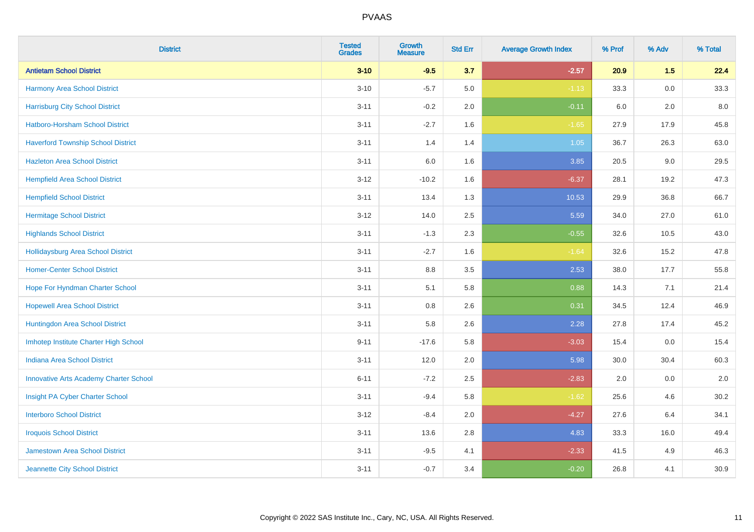| <b>District</b>                               | <b>Tested</b><br><b>Grades</b> | Growth<br><b>Measure</b> | <b>Std Err</b> | <b>Average Growth Index</b> | % Prof | % Adv   | % Total |
|-----------------------------------------------|--------------------------------|--------------------------|----------------|-----------------------------|--------|---------|---------|
| <b>Antietam School District</b>               | $3 - 10$                       | $-9.5$                   | 3.7            | $-2.57$                     | 20.9   | 1.5     | 22.4    |
| <b>Harmony Area School District</b>           | $3 - 10$                       | $-5.7$                   | 5.0            | $-1.13$                     | 33.3   | $0.0\,$ | 33.3    |
| <b>Harrisburg City School District</b>        | $3 - 11$                       | $-0.2$                   | 2.0            | $-0.11$                     | 6.0    | 2.0     | 8.0     |
| Hatboro-Horsham School District               | $3 - 11$                       | $-2.7$                   | 1.6            | $-1.65$                     | 27.9   | 17.9    | 45.8    |
| <b>Haverford Township School District</b>     | $3 - 11$                       | 1.4                      | 1.4            | 1.05                        | 36.7   | 26.3    | 63.0    |
| <b>Hazleton Area School District</b>          | $3 - 11$                       | 6.0                      | 1.6            | 3.85                        | 20.5   | 9.0     | 29.5    |
| <b>Hempfield Area School District</b>         | $3 - 12$                       | $-10.2$                  | 1.6            | $-6.37$                     | 28.1   | 19.2    | 47.3    |
| <b>Hempfield School District</b>              | $3 - 11$                       | 13.4                     | 1.3            | 10.53                       | 29.9   | 36.8    | 66.7    |
| <b>Hermitage School District</b>              | $3 - 12$                       | 14.0                     | 2.5            | 5.59                        | 34.0   | 27.0    | 61.0    |
| <b>Highlands School District</b>              | $3 - 11$                       | $-1.3$                   | 2.3            | $-0.55$                     | 32.6   | 10.5    | 43.0    |
| <b>Hollidaysburg Area School District</b>     | $3 - 11$                       | $-2.7$                   | 1.6            | $-1.64$                     | 32.6   | 15.2    | 47.8    |
| <b>Homer-Center School District</b>           | $3 - 11$                       | $8.8\,$                  | 3.5            | 2.53                        | 38.0   | 17.7    | 55.8    |
| Hope For Hyndman Charter School               | $3 - 11$                       | 5.1                      | 5.8            | 0.88                        | 14.3   | 7.1     | 21.4    |
| <b>Hopewell Area School District</b>          | $3 - 11$                       | 0.8                      | 2.6            | 0.31                        | 34.5   | 12.4    | 46.9    |
| Huntingdon Area School District               | $3 - 11$                       | 5.8                      | 2.6            | 2.28                        | 27.8   | 17.4    | 45.2    |
| Imhotep Institute Charter High School         | $9 - 11$                       | $-17.6$                  | 5.8            | $-3.03$                     | 15.4   | 0.0     | 15.4    |
| <b>Indiana Area School District</b>           | $3 - 11$                       | 12.0                     | 2.0            | 5.98                        | 30.0   | 30.4    | 60.3    |
| <b>Innovative Arts Academy Charter School</b> | $6 - 11$                       | $-7.2$                   | 2.5            | $-2.83$                     | 2.0    | 0.0     | $2.0\,$ |
| Insight PA Cyber Charter School               | $3 - 11$                       | $-9.4$                   | 5.8            | $-1.62$                     | 25.6   | 4.6     | 30.2    |
| <b>Interboro School District</b>              | $3 - 12$                       | $-8.4$                   | 2.0            | $-4.27$                     | 27.6   | 6.4     | 34.1    |
| <b>Iroquois School District</b>               | $3 - 11$                       | 13.6                     | 2.8            | 4.83                        | 33.3   | 16.0    | 49.4    |
| <b>Jamestown Area School District</b>         | $3 - 11$                       | $-9.5$                   | 4.1            | $-2.33$                     | 41.5   | 4.9     | 46.3    |
| Jeannette City School District                | $3 - 11$                       | $-0.7$                   | 3.4            | $-0.20$                     | 26.8   | 4.1     | 30.9    |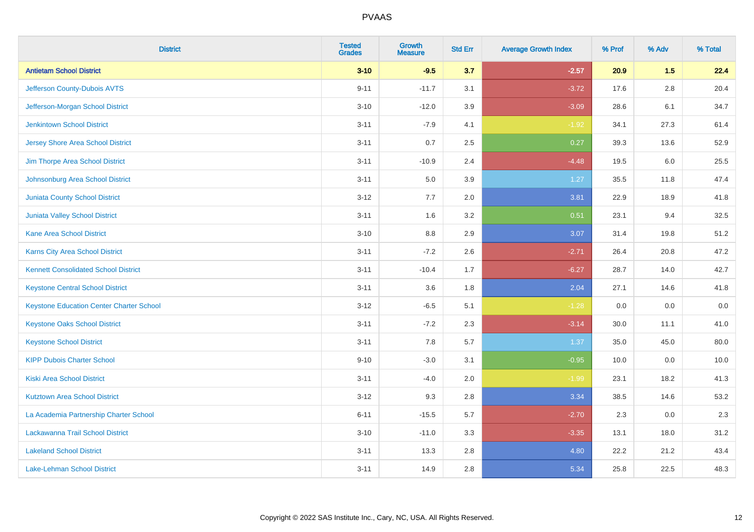| <b>District</b>                                 | <b>Tested</b><br><b>Grades</b> | <b>Growth</b><br><b>Measure</b> | <b>Std Err</b> | <b>Average Growth Index</b> | % Prof | % Adv   | % Total |
|-------------------------------------------------|--------------------------------|---------------------------------|----------------|-----------------------------|--------|---------|---------|
| <b>Antietam School District</b>                 | $3 - 10$                       | $-9.5$                          | 3.7            | $-2.57$                     | 20.9   | 1.5     | 22.4    |
| Jefferson County-Dubois AVTS                    | $9 - 11$                       | $-11.7$                         | 3.1            | $-3.72$                     | 17.6   | $2.8\,$ | 20.4    |
| Jefferson-Morgan School District                | $3 - 10$                       | $-12.0$                         | 3.9            | $-3.09$                     | 28.6   | 6.1     | 34.7    |
| <b>Jenkintown School District</b>               | $3 - 11$                       | $-7.9$                          | 4.1            | $-1.92$                     | 34.1   | 27.3    | 61.4    |
| <b>Jersey Shore Area School District</b>        | $3 - 11$                       | 0.7                             | 2.5            | 0.27                        | 39.3   | 13.6    | 52.9    |
| Jim Thorpe Area School District                 | $3 - 11$                       | $-10.9$                         | 2.4            | $-4.48$                     | 19.5   | 6.0     | 25.5    |
| Johnsonburg Area School District                | $3 - 11$                       | 5.0                             | 3.9            | 1.27                        | 35.5   | 11.8    | 47.4    |
| <b>Juniata County School District</b>           | $3 - 12$                       | 7.7                             | 2.0            | 3.81                        | 22.9   | 18.9    | 41.8    |
| Juniata Valley School District                  | $3 - 11$                       | 1.6                             | 3.2            | 0.51                        | 23.1   | 9.4     | 32.5    |
| <b>Kane Area School District</b>                | $3 - 10$                       | 8.8                             | 2.9            | 3.07                        | 31.4   | 19.8    | 51.2    |
| Karns City Area School District                 | $3 - 11$                       | $-7.2$                          | 2.6            | $-2.71$                     | 26.4   | 20.8    | 47.2    |
| <b>Kennett Consolidated School District</b>     | $3 - 11$                       | $-10.4$                         | 1.7            | $-6.27$                     | 28.7   | 14.0    | 42.7    |
| <b>Keystone Central School District</b>         | $3 - 11$                       | 3.6                             | 1.8            | 2.04                        | 27.1   | 14.6    | 41.8    |
| <b>Keystone Education Center Charter School</b> | $3 - 12$                       | $-6.5$                          | 5.1            | $-1.28$                     | 0.0    | 0.0     | $0.0\,$ |
| <b>Keystone Oaks School District</b>            | $3 - 11$                       | $-7.2$                          | 2.3            | $-3.14$                     | 30.0   | 11.1    | 41.0    |
| <b>Keystone School District</b>                 | $3 - 11$                       | 7.8                             | 5.7            | 1.37                        | 35.0   | 45.0    | 80.0    |
| <b>KIPP Dubois Charter School</b>               | $9 - 10$                       | $-3.0$                          | 3.1            | $-0.95$                     | 10.0   | 0.0     | 10.0    |
| <b>Kiski Area School District</b>               | $3 - 11$                       | $-4.0$                          | 2.0            | $-1.99$                     | 23.1   | 18.2    | 41.3    |
| <b>Kutztown Area School District</b>            | $3 - 12$                       | 9.3                             | 2.8            | 3.34                        | 38.5   | 14.6    | 53.2    |
| La Academia Partnership Charter School          | $6 - 11$                       | $-15.5$                         | 5.7            | $-2.70$                     | 2.3    | 0.0     | 2.3     |
| Lackawanna Trail School District                | $3 - 10$                       | $-11.0$                         | 3.3            | $-3.35$                     | 13.1   | 18.0    | 31.2    |
| <b>Lakeland School District</b>                 | $3 - 11$                       | 13.3                            | 2.8            | 4.80                        | 22.2   | 21.2    | 43.4    |
| Lake-Lehman School District                     | $3 - 11$                       | 14.9                            | 2.8            | 5.34                        | 25.8   | 22.5    | 48.3    |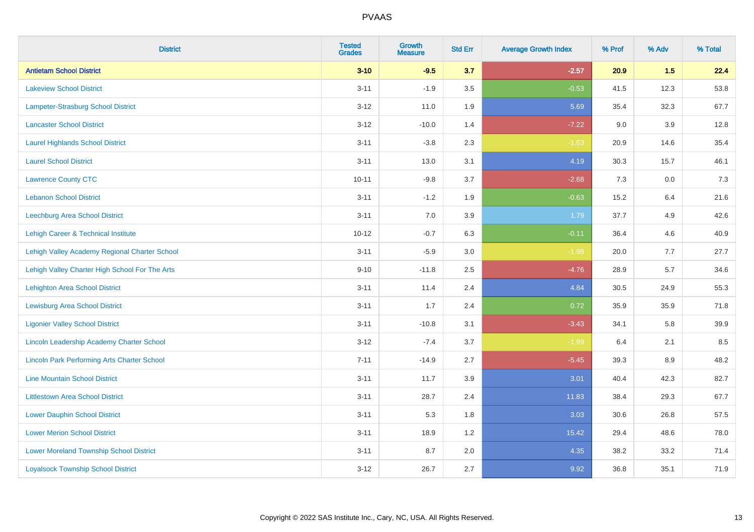| <b>District</b>                                    | <b>Tested</b><br><b>Grades</b> | <b>Growth</b><br><b>Measure</b> | <b>Std Err</b> | <b>Average Growth Index</b> | % Prof | % Adv   | % Total |
|----------------------------------------------------|--------------------------------|---------------------------------|----------------|-----------------------------|--------|---------|---------|
| <b>Antietam School District</b>                    | $3 - 10$                       | $-9.5$                          | 3.7            | $-2.57$                     | 20.9   | 1.5     | 22.4    |
| <b>Lakeview School District</b>                    | $3 - 11$                       | $-1.9$                          | 3.5            | $-0.53$                     | 41.5   | 12.3    | 53.8    |
| Lampeter-Strasburg School District                 | $3 - 12$                       | 11.0                            | 1.9            | 5.69                        | 35.4   | 32.3    | 67.7    |
| <b>Lancaster School District</b>                   | $3 - 12$                       | $-10.0$                         | 1.4            | $-7.22$                     | 9.0    | 3.9     | 12.8    |
| <b>Laurel Highlands School District</b>            | $3 - 11$                       | $-3.8$                          | 2.3            | $-1.63$                     | 20.9   | 14.6    | 35.4    |
| <b>Laurel School District</b>                      | $3 - 11$                       | 13.0                            | 3.1            | 4.19                        | 30.3   | 15.7    | 46.1    |
| <b>Lawrence County CTC</b>                         | $10 - 11$                      | $-9.8$                          | 3.7            | $-2.68$                     | 7.3    | $0.0\,$ | $7.3$   |
| <b>Lebanon School District</b>                     | $3 - 11$                       | $-1.2$                          | 1.9            | $-0.63$                     | 15.2   | 6.4     | 21.6    |
| Leechburg Area School District                     | $3 - 11$                       | 7.0                             | 3.9            | 1.79                        | 37.7   | 4.9     | 42.6    |
| Lehigh Career & Technical Institute                | $10 - 12$                      | $-0.7$                          | 6.3            | $-0.11$                     | 36.4   | 4.6     | 40.9    |
| Lehigh Valley Academy Regional Charter School      | $3 - 11$                       | $-5.9$                          | 3.0            | $-1.98$                     | 20.0   | 7.7     | 27.7    |
| Lehigh Valley Charter High School For The Arts     | $9 - 10$                       | $-11.8$                         | 2.5            | $-4.76$                     | 28.9   | 5.7     | 34.6    |
| <b>Lehighton Area School District</b>              | $3 - 11$                       | 11.4                            | 2.4            | 4.84                        | 30.5   | 24.9    | 55.3    |
| <b>Lewisburg Area School District</b>              | $3 - 11$                       | 1.7                             | 2.4            | 0.72                        | 35.9   | 35.9    | 71.8    |
| <b>Ligonier Valley School District</b>             | $3 - 11$                       | $-10.8$                         | 3.1            | $-3.43$                     | 34.1   | 5.8     | 39.9    |
| Lincoln Leadership Academy Charter School          | $3 - 12$                       | $-7.4$                          | 3.7            | $-1.99$                     | 6.4    | 2.1     | 8.5     |
| <b>Lincoln Park Performing Arts Charter School</b> | $7 - 11$                       | $-14.9$                         | 2.7            | $-5.45$                     | 39.3   | 8.9     | 48.2    |
| <b>Line Mountain School District</b>               | $3 - 11$                       | 11.7                            | 3.9            | 3.01                        | 40.4   | 42.3    | 82.7    |
| <b>Littlestown Area School District</b>            | $3 - 11$                       | 28.7                            | 2.4            | 11.83                       | 38.4   | 29.3    | 67.7    |
| <b>Lower Dauphin School District</b>               | $3 - 11$                       | 5.3                             | 1.8            | 3.03                        | 30.6   | 26.8    | 57.5    |
| <b>Lower Merion School District</b>                | $3 - 11$                       | 18.9                            | 1.2            | 15.42                       | 29.4   | 48.6    | 78.0    |
| <b>Lower Moreland Township School District</b>     | $3 - 11$                       | 8.7                             | 2.0            | 4.35                        | 38.2   | 33.2    | 71.4    |
| <b>Loyalsock Township School District</b>          | $3 - 12$                       | 26.7                            | 2.7            | 9.92                        | 36.8   | 35.1    | 71.9    |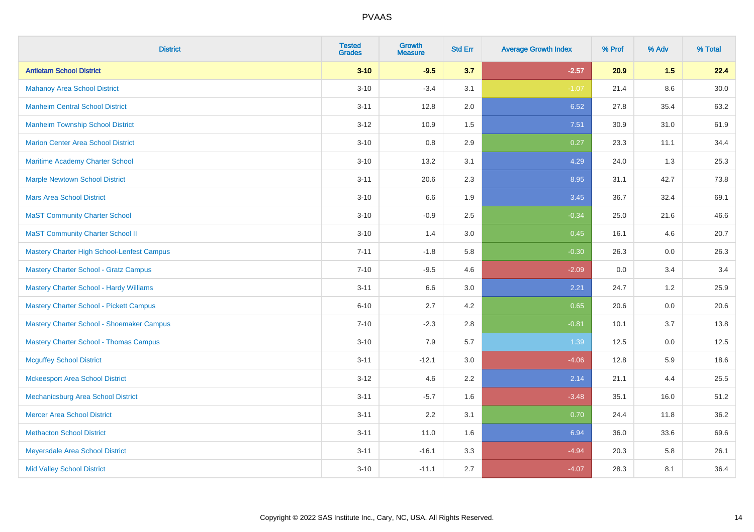| <b>District</b>                                | <b>Tested</b><br><b>Grades</b> | Growth<br><b>Measure</b> | <b>Std Err</b> | <b>Average Growth Index</b> | % Prof | % Adv   | % Total |
|------------------------------------------------|--------------------------------|--------------------------|----------------|-----------------------------|--------|---------|---------|
| <b>Antietam School District</b>                | $3 - 10$                       | $-9.5$                   | 3.7            | $-2.57$                     | 20.9   | 1.5     | 22.4    |
| <b>Mahanoy Area School District</b>            | $3 - 10$                       | $-3.4$                   | 3.1            | $-1.07$                     | 21.4   | $8.6\,$ | 30.0    |
| <b>Manheim Central School District</b>         | $3 - 11$                       | 12.8                     | 2.0            | 6.52                        | 27.8   | 35.4    | 63.2    |
| <b>Manheim Township School District</b>        | $3 - 12$                       | 10.9                     | 1.5            | 7.51                        | 30.9   | 31.0    | 61.9    |
| <b>Marion Center Area School District</b>      | $3 - 10$                       | 0.8                      | 2.9            | 0.27                        | 23.3   | 11.1    | 34.4    |
| Maritime Academy Charter School                | $3 - 10$                       | 13.2                     | 3.1            | 4.29                        | 24.0   | 1.3     | 25.3    |
| <b>Marple Newtown School District</b>          | $3 - 11$                       | 20.6                     | 2.3            | 8.95                        | 31.1   | 42.7    | 73.8    |
| <b>Mars Area School District</b>               | $3 - 10$                       | 6.6                      | 1.9            | 3.45                        | 36.7   | 32.4    | 69.1    |
| <b>MaST Community Charter School</b>           | $3 - 10$                       | $-0.9$                   | 2.5            | $-0.34$                     | 25.0   | 21.6    | 46.6    |
| <b>MaST Community Charter School II</b>        | $3 - 10$                       | 1.4                      | 3.0            | 0.45                        | 16.1   | 4.6     | 20.7    |
| Mastery Charter High School-Lenfest Campus     | $7 - 11$                       | $-1.8$                   | 5.8            | $-0.30$                     | 26.3   | 0.0     | 26.3    |
| <b>Mastery Charter School - Gratz Campus</b>   | $7 - 10$                       | $-9.5$                   | 4.6            | $-2.09$                     | 0.0    | 3.4     | 3.4     |
| <b>Mastery Charter School - Hardy Williams</b> | $3 - 11$                       | 6.6                      | 3.0            | 2.21                        | 24.7   | 1.2     | 25.9    |
| <b>Mastery Charter School - Pickett Campus</b> | $6 - 10$                       | 2.7                      | 4.2            | 0.65                        | 20.6   | 0.0     | 20.6    |
| Mastery Charter School - Shoemaker Campus      | $7 - 10$                       | $-2.3$                   | 2.8            | $-0.81$                     | 10.1   | 3.7     | 13.8    |
| <b>Mastery Charter School - Thomas Campus</b>  | $3 - 10$                       | 7.9                      | 5.7            | 1.39                        | 12.5   | 0.0     | 12.5    |
| <b>Mcguffey School District</b>                | $3 - 11$                       | $-12.1$                  | 3.0            | $-4.06$                     | 12.8   | 5.9     | 18.6    |
| <b>Mckeesport Area School District</b>         | $3-12$                         | 4.6                      | 2.2            | 2.14                        | 21.1   | 4.4     | 25.5    |
| Mechanicsburg Area School District             | $3 - 11$                       | $-5.7$                   | 1.6            | $-3.48$                     | 35.1   | 16.0    | 51.2    |
| <b>Mercer Area School District</b>             | $3 - 11$                       | 2.2                      | 3.1            | 0.70                        | 24.4   | 11.8    | 36.2    |
| <b>Methacton School District</b>               | $3 - 11$                       | 11.0                     | 1.6            | 6.94                        | 36.0   | 33.6    | 69.6    |
| Meyersdale Area School District                | $3 - 11$                       | $-16.1$                  | 3.3            | $-4.94$                     | 20.3   | 5.8     | 26.1    |
| <b>Mid Valley School District</b>              | $3 - 10$                       | $-11.1$                  | 2.7            | $-4.07$                     | 28.3   | 8.1     | 36.4    |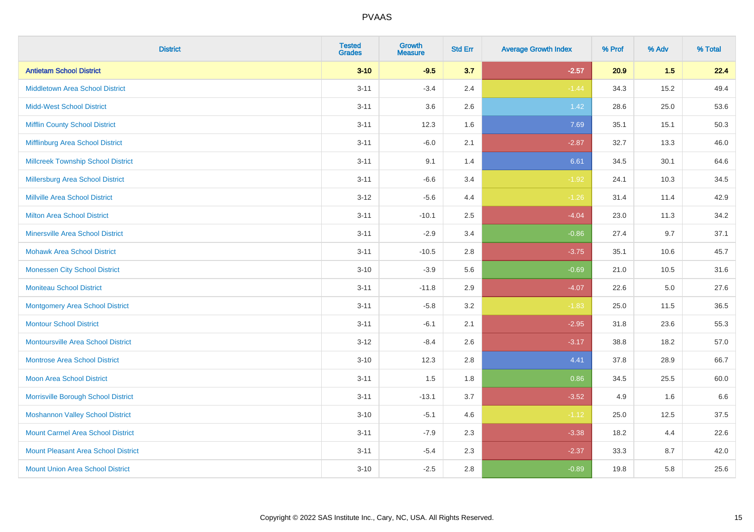| <b>District</b>                            | <b>Tested</b><br><b>Grades</b> | <b>Growth</b><br><b>Measure</b> | <b>Std Err</b> | <b>Average Growth Index</b> | % Prof | % Adv   | % Total |
|--------------------------------------------|--------------------------------|---------------------------------|----------------|-----------------------------|--------|---------|---------|
| <b>Antietam School District</b>            | $3 - 10$                       | $-9.5$                          | 3.7            | $-2.57$                     | 20.9   | 1.5     | 22.4    |
| <b>Middletown Area School District</b>     | $3 - 11$                       | $-3.4$                          | 2.4            | $-1.44$                     | 34.3   | 15.2    | 49.4    |
| <b>Midd-West School District</b>           | $3 - 11$                       | 3.6                             | 2.6            | 1.42                        | 28.6   | 25.0    | 53.6    |
| <b>Mifflin County School District</b>      | $3 - 11$                       | 12.3                            | 1.6            | 7.69                        | 35.1   | 15.1    | 50.3    |
| Mifflinburg Area School District           | $3 - 11$                       | $-6.0$                          | 2.1            | $-2.87$                     | 32.7   | 13.3    | 46.0    |
| <b>Millcreek Township School District</b>  | $3 - 11$                       | 9.1                             | 1.4            | 6.61                        | 34.5   | 30.1    | 64.6    |
| Millersburg Area School District           | $3 - 11$                       | $-6.6$                          | 3.4            | $-1.92$                     | 24.1   | 10.3    | 34.5    |
| <b>Millville Area School District</b>      | $3 - 12$                       | $-5.6$                          | 4.4            | $-1.26$                     | 31.4   | 11.4    | 42.9    |
| <b>Milton Area School District</b>         | $3 - 11$                       | $-10.1$                         | 2.5            | $-4.04$                     | 23.0   | 11.3    | 34.2    |
| <b>Minersville Area School District</b>    | $3 - 11$                       | $-2.9$                          | 3.4            | $-0.86$                     | 27.4   | 9.7     | 37.1    |
| <b>Mohawk Area School District</b>         | $3 - 11$                       | $-10.5$                         | 2.8            | $-3.75$                     | 35.1   | 10.6    | 45.7    |
| <b>Monessen City School District</b>       | $3 - 10$                       | $-3.9$                          | 5.6            | $-0.69$                     | 21.0   | 10.5    | 31.6    |
| <b>Moniteau School District</b>            | $3 - 11$                       | $-11.8$                         | 2.9            | $-4.07$                     | 22.6   | $5.0\,$ | 27.6    |
| <b>Montgomery Area School District</b>     | $3 - 11$                       | $-5.8$                          | 3.2            | $-1.83$                     | 25.0   | 11.5    | 36.5    |
| <b>Montour School District</b>             | $3 - 11$                       | $-6.1$                          | 2.1            | $-2.95$                     | 31.8   | 23.6    | 55.3    |
| <b>Montoursville Area School District</b>  | $3 - 12$                       | $-8.4$                          | 2.6            | $-3.17$                     | 38.8   | 18.2    | 57.0    |
| <b>Montrose Area School District</b>       | $3 - 10$                       | 12.3                            | 2.8            | 4.41                        | 37.8   | 28.9    | 66.7    |
| <b>Moon Area School District</b>           | $3 - 11$                       | 1.5                             | 1.8            | 0.86                        | 34.5   | 25.5    | 60.0    |
| Morrisville Borough School District        | $3 - 11$                       | $-13.1$                         | 3.7            | $-3.52$                     | 4.9    | 1.6     | 6.6     |
| <b>Moshannon Valley School District</b>    | $3 - 10$                       | $-5.1$                          | 4.6            | $-1.12$                     | 25.0   | 12.5    | 37.5    |
| <b>Mount Carmel Area School District</b>   | $3 - 11$                       | $-7.9$                          | 2.3            | $-3.38$                     | 18.2   | 4.4     | 22.6    |
| <b>Mount Pleasant Area School District</b> | $3 - 11$                       | $-5.4$                          | 2.3            | $-2.37$                     | 33.3   | 8.7     | 42.0    |
| <b>Mount Union Area School District</b>    | $3 - 10$                       | $-2.5$                          | 2.8            | $-0.89$                     | 19.8   | 5.8     | 25.6    |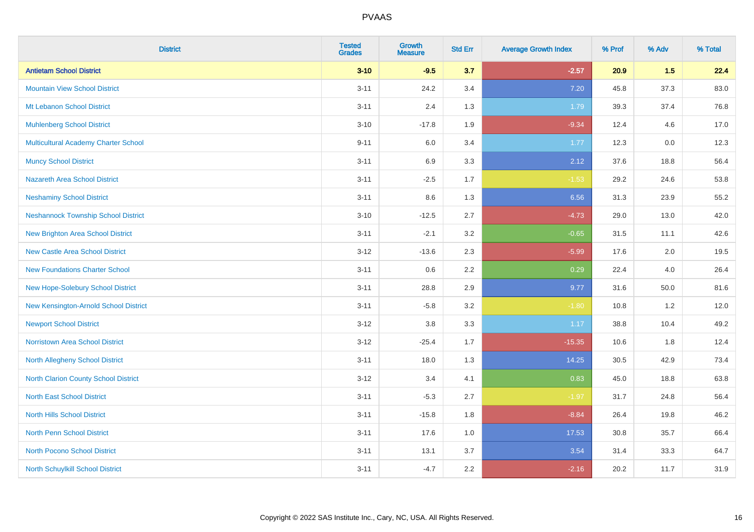| <b>District</b>                             | <b>Tested</b><br><b>Grades</b> | <b>Growth</b><br><b>Measure</b> | <b>Std Err</b> | <b>Average Growth Index</b> | % Prof | % Adv | % Total |
|---------------------------------------------|--------------------------------|---------------------------------|----------------|-----------------------------|--------|-------|---------|
| <b>Antietam School District</b>             | $3 - 10$                       | $-9.5$                          | 3.7            | $-2.57$                     | 20.9   | 1.5   | 22.4    |
| <b>Mountain View School District</b>        | $3 - 11$                       | 24.2                            | 3.4            | 7.20                        | 45.8   | 37.3  | 83.0    |
| Mt Lebanon School District                  | $3 - 11$                       | 2.4                             | 1.3            | 1.79                        | 39.3   | 37.4  | 76.8    |
| <b>Muhlenberg School District</b>           | $3 - 10$                       | $-17.8$                         | 1.9            | $-9.34$                     | 12.4   | 4.6   | 17.0    |
| <b>Multicultural Academy Charter School</b> | $9 - 11$                       | 6.0                             | 3.4            | 1.77                        | 12.3   | 0.0   | 12.3    |
| <b>Muncy School District</b>                | $3 - 11$                       | 6.9                             | 3.3            | 2.12                        | 37.6   | 18.8  | 56.4    |
| <b>Nazareth Area School District</b>        | $3 - 11$                       | $-2.5$                          | 1.7            | $-1.53$                     | 29.2   | 24.6  | 53.8    |
| <b>Neshaminy School District</b>            | $3 - 11$                       | $8.6\,$                         | 1.3            | 6.56                        | 31.3   | 23.9  | 55.2    |
| <b>Neshannock Township School District</b>  | $3 - 10$                       | $-12.5$                         | 2.7            | $-4.73$                     | 29.0   | 13.0  | 42.0    |
| <b>New Brighton Area School District</b>    | $3 - 11$                       | $-2.1$                          | 3.2            | $-0.65$                     | 31.5   | 11.1  | 42.6    |
| <b>New Castle Area School District</b>      | $3 - 12$                       | $-13.6$                         | 2.3            | $-5.99$                     | 17.6   | 2.0   | 19.5    |
| <b>New Foundations Charter School</b>       | $3 - 11$                       | $0.6\,$                         | 2.2            | 0.29                        | 22.4   | 4.0   | 26.4    |
| New Hope-Solebury School District           | $3 - 11$                       | 28.8                            | 2.9            | 9.77                        | 31.6   | 50.0  | 81.6    |
| New Kensington-Arnold School District       | $3 - 11$                       | $-5.8$                          | 3.2            | $-1.80$                     | 10.8   | 1.2   | 12.0    |
| <b>Newport School District</b>              | $3 - 12$                       | $3.8\,$                         | 3.3            | 1.17                        | 38.8   | 10.4  | 49.2    |
| <b>Norristown Area School District</b>      | $3 - 12$                       | $-25.4$                         | 1.7            | $-15.35$                    | 10.6   | 1.8   | 12.4    |
| <b>North Allegheny School District</b>      | $3 - 11$                       | 18.0                            | 1.3            | 14.25                       | 30.5   | 42.9  | 73.4    |
| <b>North Clarion County School District</b> | $3 - 12$                       | 3.4                             | 4.1            | 0.83                        | 45.0   | 18.8  | 63.8    |
| <b>North East School District</b>           | $3 - 11$                       | $-5.3$                          | 2.7            | $-1.97$                     | 31.7   | 24.8  | 56.4    |
| <b>North Hills School District</b>          | $3 - 11$                       | $-15.8$                         | 1.8            | $-8.84$                     | 26.4   | 19.8  | 46.2    |
| <b>North Penn School District</b>           | $3 - 11$                       | 17.6                            | 1.0            | 17.53                       | 30.8   | 35.7  | 66.4    |
| <b>North Pocono School District</b>         | $3 - 11$                       | 13.1                            | 3.7            | 3.54                        | 31.4   | 33.3  | 64.7    |
| North Schuylkill School District            | $3 - 11$                       | $-4.7$                          | 2.2            | $-2.16$                     | 20.2   | 11.7  | 31.9    |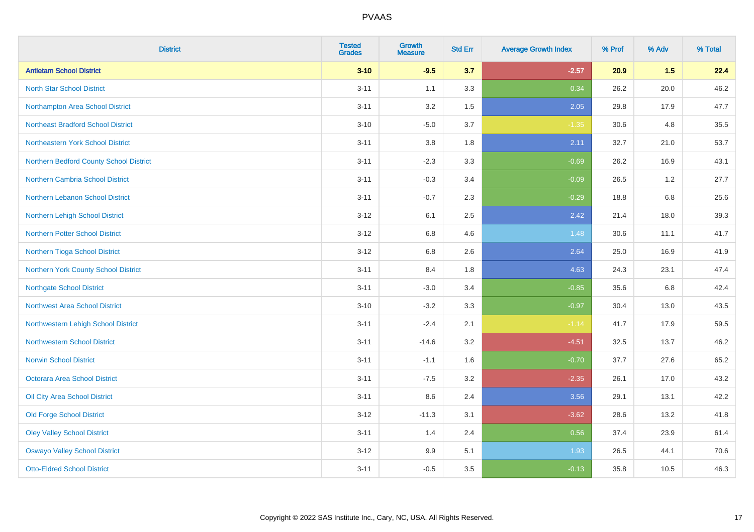| <b>District</b>                           | <b>Tested</b><br><b>Grades</b> | Growth<br><b>Measure</b> | <b>Std Err</b> | <b>Average Growth Index</b> | % Prof | % Adv | % Total |
|-------------------------------------------|--------------------------------|--------------------------|----------------|-----------------------------|--------|-------|---------|
| <b>Antietam School District</b>           | $3 - 10$                       | $-9.5$                   | 3.7            | $-2.57$                     | 20.9   | 1.5   | 22.4    |
| <b>North Star School District</b>         | $3 - 11$                       | 1.1                      | 3.3            | 0.34                        | 26.2   | 20.0  | 46.2    |
| Northampton Area School District          | $3 - 11$                       | 3.2                      | 1.5            | 2.05                        | 29.8   | 17.9  | 47.7    |
| <b>Northeast Bradford School District</b> | $3 - 10$                       | $-5.0$                   | 3.7            | $-1.35$                     | 30.6   | 4.8   | 35.5    |
| Northeastern York School District         | $3 - 11$                       | 3.8                      | 1.8            | 2.11                        | 32.7   | 21.0  | 53.7    |
| Northern Bedford County School District   | $3 - 11$                       | $-2.3$                   | 3.3            | $-0.69$                     | 26.2   | 16.9  | 43.1    |
| Northern Cambria School District          | $3 - 11$                       | $-0.3$                   | 3.4            | $-0.09$                     | 26.5   | 1.2   | 27.7    |
| <b>Northern Lebanon School District</b>   | $3 - 11$                       | $-0.7$                   | 2.3            | $-0.29$                     | 18.8   | 6.8   | 25.6    |
| Northern Lehigh School District           | $3 - 12$                       | 6.1                      | 2.5            | 2.42                        | 21.4   | 18.0  | 39.3    |
| <b>Northern Potter School District</b>    | $3 - 12$                       | 6.8                      | 4.6            | 1.48                        | 30.6   | 11.1  | 41.7    |
| Northern Tioga School District            | $3 - 12$                       | $6.8\,$                  | 2.6            | 2.64                        | 25.0   | 16.9  | 41.9    |
| Northern York County School District      | $3 - 11$                       | 8.4                      | 1.8            | 4.63                        | 24.3   | 23.1  | 47.4    |
| <b>Northgate School District</b>          | $3 - 11$                       | $-3.0$                   | 3.4            | $-0.85$                     | 35.6   | 6.8   | 42.4    |
| Northwest Area School District            | $3 - 10$                       | $-3.2$                   | 3.3            | $-0.97$                     | 30.4   | 13.0  | 43.5    |
| Northwestern Lehigh School District       | $3 - 11$                       | $-2.4$                   | 2.1            | $-1.14$                     | 41.7   | 17.9  | 59.5    |
| <b>Northwestern School District</b>       | $3 - 11$                       | $-14.6$                  | 3.2            | $-4.51$                     | 32.5   | 13.7  | 46.2    |
| <b>Norwin School District</b>             | $3 - 11$                       | $-1.1$                   | 1.6            | $-0.70$                     | 37.7   | 27.6  | 65.2    |
| <b>Octorara Area School District</b>      | $3 - 11$                       | $-7.5$                   | 3.2            | $-2.35$                     | 26.1   | 17.0  | 43.2    |
| Oil City Area School District             | $3 - 11$                       | 8.6                      | 2.4            | 3.56                        | 29.1   | 13.1  | 42.2    |
| <b>Old Forge School District</b>          | $3 - 12$                       | $-11.3$                  | 3.1            | $-3.62$                     | 28.6   | 13.2  | 41.8    |
| <b>Oley Valley School District</b>        | $3 - 11$                       | 1.4                      | 2.4            | 0.56                        | 37.4   | 23.9  | 61.4    |
| <b>Oswayo Valley School District</b>      | $3 - 12$                       | 9.9                      | 5.1            | 1.93                        | 26.5   | 44.1  | 70.6    |
| <b>Otto-Eldred School District</b>        | $3 - 11$                       | $-0.5$                   | 3.5            | $-0.13$                     | 35.8   | 10.5  | 46.3    |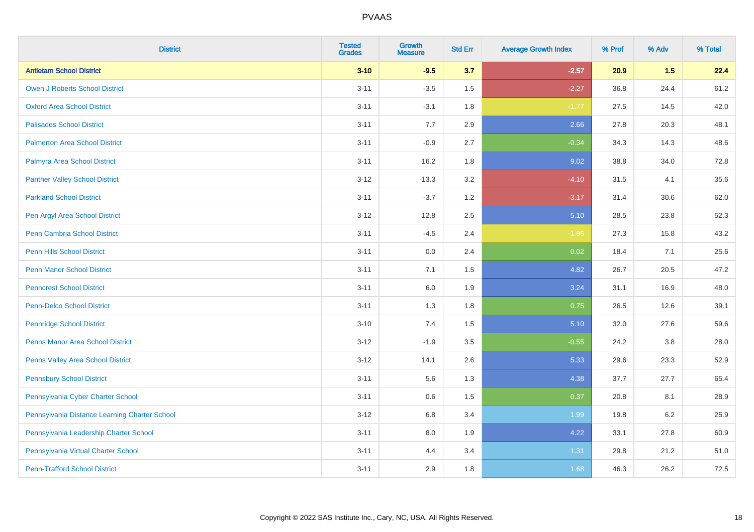| <b>District</b>                               | <b>Tested</b><br><b>Grades</b> | Growth<br><b>Measure</b> | <b>Std Err</b> | <b>Average Growth Index</b> | % Prof | % Adv | % Total |
|-----------------------------------------------|--------------------------------|--------------------------|----------------|-----------------------------|--------|-------|---------|
| <b>Antietam School District</b>               | $3 - 10$                       | $-9.5$                   | 3.7            | $-2.57$                     | 20.9   | 1.5   | 22.4    |
| <b>Owen J Roberts School District</b>         | $3 - 11$                       | $-3.5$                   | 1.5            | $-2.27$                     | 36.8   | 24.4  | 61.2    |
| <b>Oxford Area School District</b>            | $3 - 11$                       | $-3.1$                   | 1.8            | $-1.77$                     | 27.5   | 14.5  | 42.0    |
| <b>Palisades School District</b>              | $3 - 11$                       | 7.7                      | 2.9            | 2.66                        | 27.8   | 20.3  | 48.1    |
| <b>Palmerton Area School District</b>         | $3 - 11$                       | $-0.9$                   | 2.7            | $-0.34$                     | 34.3   | 14.3  | 48.6    |
| Palmyra Area School District                  | $3 - 11$                       | 16.2                     | 1.8            | 9.02                        | 38.8   | 34.0  | 72.8    |
| <b>Panther Valley School District</b>         | $3 - 12$                       | $-13.3$                  | 3.2            | $-4.10$                     | 31.5   | 4.1   | 35.6    |
| <b>Parkland School District</b>               | $3 - 11$                       | $-3.7$                   | 1.2            | $-3.17$                     | 31.4   | 30.6  | 62.0    |
| Pen Argyl Area School District                | $3 - 12$                       | 12.8                     | 2.5            | 5.10                        | 28.5   | 23.8  | 52.3    |
| <b>Penn Cambria School District</b>           | $3 - 11$                       | $-4.5$                   | 2.4            | $-1.86$                     | 27.3   | 15.8  | 43.2    |
| <b>Penn Hills School District</b>             | $3 - 11$                       | 0.0                      | 2.4            | 0.02                        | 18.4   | 7.1   | 25.6    |
| <b>Penn Manor School District</b>             | $3 - 11$                       | 7.1                      | 1.5            | 4.82                        | 26.7   | 20.5  | 47.2    |
| <b>Penncrest School District</b>              | $3 - 11$                       | 6.0                      | 1.9            | 3.24                        | 31.1   | 16.9  | 48.0    |
| <b>Penn-Delco School District</b>             | $3 - 11$                       | 1.3                      | 1.8            | 0.75                        | 26.5   | 12.6  | 39.1    |
| <b>Pennridge School District</b>              | $3 - 10$                       | 7.4                      | 1.5            | 5.10                        | 32.0   | 27.6  | 59.6    |
| <b>Penns Manor Area School District</b>       | $3 - 12$                       | $-1.9$                   | 3.5            | $-0.55$                     | 24.2   | 3.8   | 28.0    |
| Penns Valley Area School District             | $3 - 12$                       | 14.1                     | 2.6            | 5.33                        | 29.6   | 23.3  | 52.9    |
| <b>Pennsbury School District</b>              | $3 - 11$                       | 5.6                      | 1.3            | 4.38                        | 37.7   | 27.7  | 65.4    |
| Pennsylvania Cyber Charter School             | $3 - 11$                       | 0.6                      | 1.5            | 0.37                        | 20.8   | 8.1   | 28.9    |
| Pennsylvania Distance Learning Charter School | $3 - 12$                       | 6.8                      | 3.4            | 1.99                        | 19.8   | 6.2   | 25.9    |
| Pennsylvania Leadership Charter School        | $3 - 11$                       | 8.0                      | 1.9            | 4.22                        | 33.1   | 27.8  | 60.9    |
| Pennsylvania Virtual Charter School           | $3 - 11$                       | 4.4                      | 3.4            | 1.31                        | 29.8   | 21.2  | 51.0    |
| <b>Penn-Trafford School District</b>          | $3 - 11$                       | 2.9                      | 1.8            | 1.68                        | 46.3   | 26.2  | 72.5    |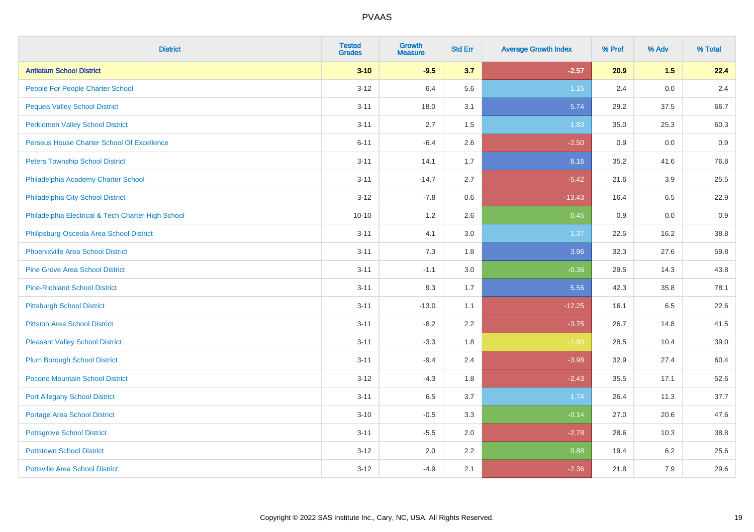| <b>District</b>                                    | <b>Tested</b><br><b>Grades</b> | <b>Growth</b><br><b>Measure</b> | <b>Std Err</b> | <b>Average Growth Index</b> | % Prof | % Adv | % Total |
|----------------------------------------------------|--------------------------------|---------------------------------|----------------|-----------------------------|--------|-------|---------|
| <b>Antietam School District</b>                    | $3 - 10$                       | $-9.5$                          | 3.7            | $-2.57$                     | 20.9   | 1.5   | 22.4    |
| People For People Charter School                   | $3-12$                         | 6.4                             | 5.6            | $1.15$                      | 2.4    | 0.0   | 2.4     |
| <b>Pequea Valley School District</b>               | $3 - 11$                       | 18.0                            | 3.1            | 5.74                        | 29.2   | 37.5  | 66.7    |
| <b>Perkiomen Valley School District</b>            | $3 - 11$                       | 2.7                             | 1.5            | 1.83                        | 35.0   | 25.3  | 60.3    |
| Perseus House Charter School Of Excellence         | $6 - 11$                       | $-6.4$                          | 2.6            | $-2.50$                     | 0.9    | 0.0   | 0.9     |
| <b>Peters Township School District</b>             | $3 - 11$                       | 14.1                            | 1.7            | 8.16                        | 35.2   | 41.6  | 76.8    |
| Philadelphia Academy Charter School                | $3 - 11$                       | $-14.7$                         | 2.7            | $-5.42$                     | 21.6   | 3.9   | 25.5    |
| Philadelphia City School District                  | $3 - 12$                       | $-7.8$                          | 0.6            | $-13.43$                    | 16.4   | 6.5   | 22.9    |
| Philadelphia Electrical & Tech Charter High School | $10 - 10$                      | 1.2                             | 2.6            | 0.45                        | 0.9    | 0.0   | 0.9     |
| Philipsburg-Osceola Area School District           | $3 - 11$                       | 4.1                             | 3.0            | 1.37                        | 22.5   | 16.2  | 38.8    |
| <b>Phoenixville Area School District</b>           | $3 - 11$                       | 7.3                             | 1.8            | 3.96                        | 32.3   | 27.6  | 59.8    |
| <b>Pine Grove Area School District</b>             | $3 - 11$                       | $-1.1$                          | 3.0            | $-0.36$                     | 29.5   | 14.3  | 43.8    |
| <b>Pine-Richland School District</b>               | $3 - 11$                       | 9.3                             | 1.7            | 5.56                        | 42.3   | 35.8  | 78.1    |
| <b>Pittsburgh School District</b>                  | $3 - 11$                       | $-13.0$                         | 1.1            | $-12.25$                    | 16.1   | 6.5   | 22.6    |
| <b>Pittston Area School District</b>               | $3 - 11$                       | $-8.2$                          | 2.2            | $-3.75$                     | 26.7   | 14.8  | 41.5    |
| <b>Pleasant Valley School District</b>             | $3 - 11$                       | $-3.3$                          | 1.8            | $-1.80$                     | 28.5   | 10.4  | 39.0    |
| <b>Plum Borough School District</b>                | $3 - 11$                       | $-9.4$                          | 2.4            | $-3.98$                     | 32.9   | 27.4  | 60.4    |
| Pocono Mountain School District                    | $3 - 12$                       | $-4.3$                          | 1.8            | $-2.43$                     | 35.5   | 17.1  | 52.6    |
| <b>Port Allegany School District</b>               | $3 - 11$                       | 6.5                             | 3.7            | 1.74                        | 26.4   | 11.3  | 37.7    |
| <b>Portage Area School District</b>                | $3 - 10$                       | $-0.5$                          | 3.3            | $-0.14$                     | 27.0   | 20.6  | 47.6    |
| <b>Pottsgrove School District</b>                  | $3 - 11$                       | $-5.5$                          | 2.0            | $-2.78$                     | 28.6   | 10.3  | 38.8    |
| <b>Pottstown School District</b>                   | $3 - 12$                       | 2.0                             | 2.2            | 0.88                        | 19.4   | 6.2   | 25.6    |
| <b>Pottsville Area School District</b>             | $3 - 12$                       | $-4.9$                          | 2.1            | $-2.36$                     | 21.8   | 7.9   | 29.6    |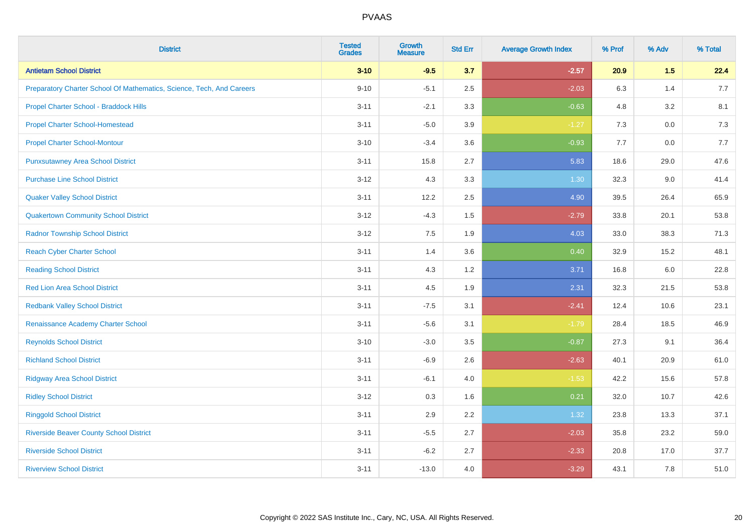| <b>District</b>                                                       | <b>Tested</b><br><b>Grades</b> | <b>Growth</b><br><b>Measure</b> | <b>Std Err</b> | <b>Average Growth Index</b> | % Prof | % Adv   | % Total |
|-----------------------------------------------------------------------|--------------------------------|---------------------------------|----------------|-----------------------------|--------|---------|---------|
| <b>Antietam School District</b>                                       | $3 - 10$                       | $-9.5$                          | 3.7            | $-2.57$                     | 20.9   | 1.5     | 22.4    |
| Preparatory Charter School Of Mathematics, Science, Tech, And Careers | $9 - 10$                       | $-5.1$                          | 2.5            | $-2.03$                     | 6.3    | 1.4     | 7.7     |
| Propel Charter School - Braddock Hills                                | $3 - 11$                       | $-2.1$                          | 3.3            | $-0.63$                     | 4.8    | 3.2     | 8.1     |
| <b>Propel Charter School-Homestead</b>                                | $3 - 11$                       | $-5.0$                          | 3.9            | $-1.27$                     | 7.3    | $0.0\,$ | 7.3     |
| <b>Propel Charter School-Montour</b>                                  | $3 - 10$                       | $-3.4$                          | 3.6            | $-0.93$                     | 7.7    | 0.0     | 7.7     |
| <b>Punxsutawney Area School District</b>                              | $3 - 11$                       | 15.8                            | 2.7            | 5.83                        | 18.6   | 29.0    | 47.6    |
| <b>Purchase Line School District</b>                                  | $3 - 12$                       | 4.3                             | 3.3            | 1.30                        | 32.3   | 9.0     | 41.4    |
| <b>Quaker Valley School District</b>                                  | $3 - 11$                       | 12.2                            | 2.5            | 4.90                        | 39.5   | 26.4    | 65.9    |
| <b>Quakertown Community School District</b>                           | $3 - 12$                       | $-4.3$                          | 1.5            | $-2.79$                     | 33.8   | 20.1    | 53.8    |
| <b>Radnor Township School District</b>                                | $3 - 12$                       | 7.5                             | 1.9            | 4.03                        | 33.0   | 38.3    | 71.3    |
| <b>Reach Cyber Charter School</b>                                     | $3 - 11$                       | 1.4                             | 3.6            | 0.40                        | 32.9   | 15.2    | 48.1    |
| <b>Reading School District</b>                                        | $3 - 11$                       | 4.3                             | 1.2            | 3.71                        | 16.8   | 6.0     | 22.8    |
| <b>Red Lion Area School District</b>                                  | $3 - 11$                       | 4.5                             | 1.9            | 2.31                        | 32.3   | 21.5    | 53.8    |
| <b>Redbank Valley School District</b>                                 | $3 - 11$                       | $-7.5$                          | 3.1            | $-2.41$                     | 12.4   | 10.6    | 23.1    |
| Renaissance Academy Charter School                                    | $3 - 11$                       | $-5.6$                          | 3.1            | $-1.79$                     | 28.4   | 18.5    | 46.9    |
| <b>Reynolds School District</b>                                       | $3 - 10$                       | $-3.0$                          | 3.5            | $-0.87$                     | 27.3   | 9.1     | 36.4    |
| <b>Richland School District</b>                                       | $3 - 11$                       | $-6.9$                          | 2.6            | $-2.63$                     | 40.1   | 20.9    | 61.0    |
| <b>Ridgway Area School District</b>                                   | $3 - 11$                       | $-6.1$                          | 4.0            | $-1.53$                     | 42.2   | 15.6    | 57.8    |
| <b>Ridley School District</b>                                         | $3 - 12$                       | 0.3                             | 1.6            | 0.21                        | 32.0   | 10.7    | 42.6    |
| <b>Ringgold School District</b>                                       | $3 - 11$                       | 2.9                             | 2.2            | 1.32                        | 23.8   | 13.3    | 37.1    |
| <b>Riverside Beaver County School District</b>                        | $3 - 11$                       | $-5.5$                          | 2.7            | $-2.03$                     | 35.8   | 23.2    | 59.0    |
| <b>Riverside School District</b>                                      | $3 - 11$                       | $-6.2$                          | 2.7            | $-2.33$                     | 20.8   | 17.0    | 37.7    |
| <b>Riverview School District</b>                                      | $3 - 11$                       | $-13.0$                         | 4.0            | $-3.29$                     | 43.1   | 7.8     | 51.0    |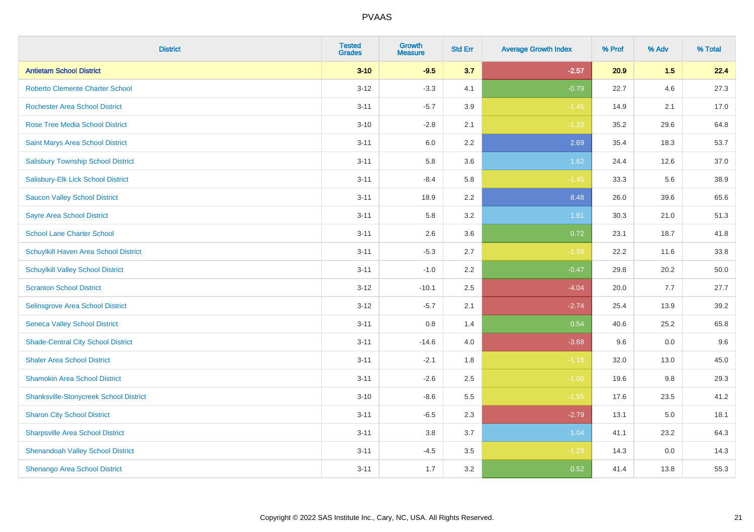| <b>District</b>                               | <b>Tested</b><br><b>Grades</b> | <b>Growth</b><br><b>Measure</b> | <b>Std Err</b> | <b>Average Growth Index</b> | % Prof | % Adv | % Total |
|-----------------------------------------------|--------------------------------|---------------------------------|----------------|-----------------------------|--------|-------|---------|
| <b>Antietam School District</b>               | $3 - 10$                       | $-9.5$                          | 3.7            | $-2.57$                     | 20.9   | 1.5   | 22.4    |
| <b>Roberto Clemente Charter School</b>        | $3 - 12$                       | $-3.3$                          | 4.1            | $-0.79$                     | 22.7   | 4.6   | 27.3    |
| <b>Rochester Area School District</b>         | $3 - 11$                       | $-5.7$                          | 3.9            | $-1.45$                     | 14.9   | 2.1   | 17.0    |
| <b>Rose Tree Media School District</b>        | $3 - 10$                       | $-2.8$                          | 2.1            | $-1.33$                     | 35.2   | 29.6  | 64.8    |
| Saint Marys Area School District              | $3 - 11$                       | 6.0                             | 2.2            | 2.69                        | 35.4   | 18.3  | 53.7    |
| <b>Salisbury Township School District</b>     | $3 - 11$                       | 5.8                             | 3.6            | 1.62                        | 24.4   | 12.6  | 37.0    |
| Salisbury-Elk Lick School District            | $3 - 11$                       | $-8.4$                          | 5.8            | $-1.45$                     | 33.3   | 5.6   | 38.9    |
| <b>Saucon Valley School District</b>          | $3 - 11$                       | 18.9                            | 2.2            | 8.48                        | 26.0   | 39.6  | 65.6    |
| <b>Sayre Area School District</b>             | $3 - 11$                       | 5.8                             | 3.2            | 1.81                        | 30.3   | 21.0  | 51.3    |
| <b>School Lane Charter School</b>             | $3 - 11$                       | 2.6                             | 3.6            | 0.72                        | 23.1   | 18.7  | 41.8    |
| Schuylkill Haven Area School District         | $3 - 11$                       | $-5.3$                          | 2.7            | $-1.96$                     | 22.2   | 11.6  | 33.8    |
| <b>Schuylkill Valley School District</b>      | $3 - 11$                       | $-1.0$                          | 2.2            | $-0.47$                     | 29.8   | 20.2  | 50.0    |
| <b>Scranton School District</b>               | $3 - 12$                       | $-10.1$                         | 2.5            | $-4.04$                     | 20.0   | 7.7   | 27.7    |
| Selinsgrove Area School District              | $3 - 12$                       | $-5.7$                          | 2.1            | $-2.74$                     | 25.4   | 13.9  | 39.2    |
| <b>Seneca Valley School District</b>          | $3 - 11$                       | $0.8\,$                         | 1.4            | 0.54                        | 40.6   | 25.2  | 65.8    |
| <b>Shade-Central City School District</b>     | $3 - 11$                       | $-14.6$                         | 4.0            | $-3.68$                     | 9.6    | 0.0   | 9.6     |
| <b>Shaler Area School District</b>            | $3 - 11$                       | $-2.1$                          | 1.8            | $-1.18$                     | 32.0   | 13.0  | 45.0    |
| <b>Shamokin Area School District</b>          | $3 - 11$                       | $-2.6$                          | 2.5            | $-1.06$                     | 19.6   | 9.8   | 29.3    |
| <b>Shanksville-Stonycreek School District</b> | $3 - 10$                       | $-8.6$                          | 5.5            | $-1.55$                     | 17.6   | 23.5  | 41.2    |
| <b>Sharon City School District</b>            | $3 - 11$                       | $-6.5$                          | 2.3            | $-2.79$                     | 13.1   | 5.0   | 18.1    |
| <b>Sharpsville Area School District</b>       | $3 - 11$                       | 3.8                             | 3.7            | 1.04                        | 41.1   | 23.2  | 64.3    |
| <b>Shenandoah Valley School District</b>      | $3 - 11$                       | $-4.5$                          | 3.5            | $-1.29$                     | 14.3   | 0.0   | 14.3    |
| <b>Shenango Area School District</b>          | $3 - 11$                       | 1.7                             | 3.2            | 0.52                        | 41.4   | 13.8  | 55.3    |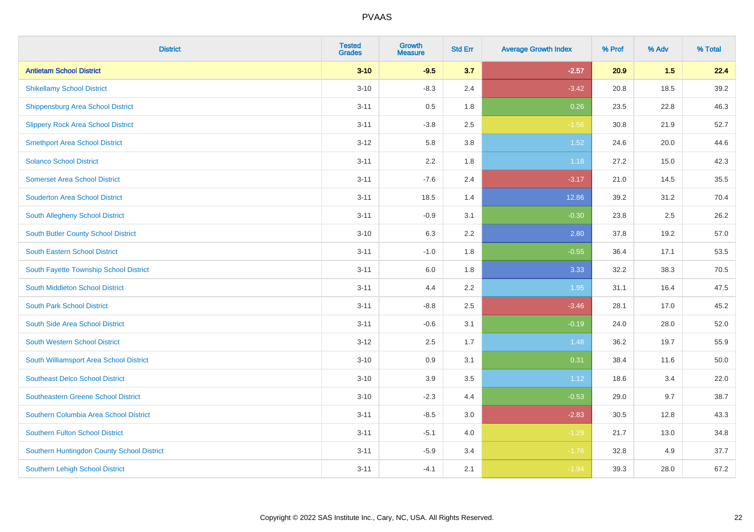| <b>District</b>                            | <b>Tested</b><br><b>Grades</b> | <b>Growth</b><br><b>Measure</b> | <b>Std Err</b> | <b>Average Growth Index</b> | % Prof | % Adv | % Total |
|--------------------------------------------|--------------------------------|---------------------------------|----------------|-----------------------------|--------|-------|---------|
| <b>Antietam School District</b>            | $3 - 10$                       | $-9.5$                          | 3.7            | $-2.57$                     | 20.9   | 1.5   | 22.4    |
| <b>Shikellamy School District</b>          | $3 - 10$                       | $-8.3$                          | 2.4            | $-3.42$                     | 20.8   | 18.5  | 39.2    |
| <b>Shippensburg Area School District</b>   | $3 - 11$                       | 0.5                             | 1.8            | 0.26                        | 23.5   | 22.8  | 46.3    |
| <b>Slippery Rock Area School District</b>  | $3 - 11$                       | $-3.8$                          | 2.5            | $-1.56$                     | 30.8   | 21.9  | 52.7    |
| <b>Smethport Area School District</b>      | $3 - 12$                       | 5.8                             | 3.8            | 1.52                        | 24.6   | 20.0  | 44.6    |
| <b>Solanco School District</b>             | $3 - 11$                       | 2.2                             | 1.8            | 1.18                        | 27.2   | 15.0  | 42.3    |
| <b>Somerset Area School District</b>       | $3 - 11$                       | $-7.6$                          | 2.4            | $-3.17$                     | 21.0   | 14.5  | 35.5    |
| <b>Souderton Area School District</b>      | $3 - 11$                       | 18.5                            | 1.4            | 12.86                       | 39.2   | 31.2  | 70.4    |
| South Allegheny School District            | $3 - 11$                       | $-0.9$                          | 3.1            | $-0.30$                     | 23.8   | 2.5   | 26.2    |
| South Butler County School District        | $3 - 10$                       | 6.3                             | 2.2            | 2.80                        | 37.8   | 19.2  | 57.0    |
| <b>South Eastern School District</b>       | $3 - 11$                       | $-1.0$                          | 1.8            | $-0.55$                     | 36.4   | 17.1  | 53.5    |
| South Fayette Township School District     | $3 - 11$                       | 6.0                             | 1.8            | 3.33                        | 32.2   | 38.3  | 70.5    |
| South Middleton School District            | $3 - 11$                       | 4.4                             | 2.2            | 1.95                        | 31.1   | 16.4  | 47.5    |
| <b>South Park School District</b>          | $3 - 11$                       | $-8.8$                          | 2.5            | $-3.46$                     | 28.1   | 17.0  | 45.2    |
| South Side Area School District            | $3 - 11$                       | $-0.6$                          | 3.1            | $-0.19$                     | 24.0   | 28.0  | 52.0    |
| <b>South Western School District</b>       | $3 - 12$                       | 2.5                             | 1.7            | 1.48                        | 36.2   | 19.7  | 55.9    |
| South Williamsport Area School District    | $3 - 10$                       | 0.9                             | 3.1            | 0.31                        | 38.4   | 11.6  | 50.0    |
| <b>Southeast Delco School District</b>     | $3 - 10$                       | 3.9                             | 3.5            | 1.12                        | 18.6   | 3.4   | 22.0    |
| <b>Southeastern Greene School District</b> | $3 - 10$                       | $-2.3$                          | 4.4            | $-0.53$                     | 29.0   | 9.7   | 38.7    |
| Southern Columbia Area School District     | $3 - 11$                       | $-8.5$                          | 3.0            | $-2.83$                     | 30.5   | 12.8  | 43.3    |
| <b>Southern Fulton School District</b>     | $3 - 11$                       | $-5.1$                          | 4.0            | $-1.29$                     | 21.7   | 13.0  | 34.8    |
| Southern Huntingdon County School District | $3 - 11$                       | $-5.9$                          | 3.4            | $-1.76$                     | 32.8   | 4.9   | 37.7    |
| <b>Southern Lehigh School District</b>     | $3 - 11$                       | $-4.1$                          | 2.1            | $-1.94$                     | 39.3   | 28.0  | 67.2    |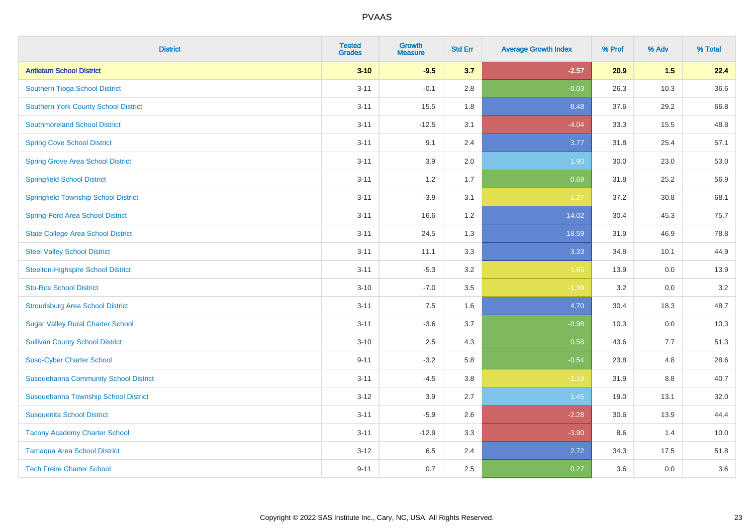| <b>District</b>                              | <b>Tested</b><br><b>Grades</b> | <b>Growth</b><br><b>Measure</b> | <b>Std Err</b> | <b>Average Growth Index</b> | % Prof | % Adv | % Total |
|----------------------------------------------|--------------------------------|---------------------------------|----------------|-----------------------------|--------|-------|---------|
| <b>Antietam School District</b>              | $3 - 10$                       | $-9.5$                          | 3.7            | $-2.57$                     | 20.9   | 1.5   | 22.4    |
| Southern Tioga School District               | $3 - 11$                       | $-0.1$                          | 2.8            | $-0.03$                     | 26.3   | 10.3  | 36.6    |
| <b>Southern York County School District</b>  | $3 - 11$                       | 15.5                            | 1.8            | 8.48                        | 37.6   | 29.2  | 66.8    |
| <b>Southmoreland School District</b>         | $3 - 11$                       | $-12.5$                         | 3.1            | $-4.04$                     | 33.3   | 15.5  | 48.8    |
| <b>Spring Cove School District</b>           | $3 - 11$                       | 9.1                             | 2.4            | 3.77                        | 31.8   | 25.4  | 57.1    |
| <b>Spring Grove Area School District</b>     | $3 - 11$                       | 3.9                             | 2.0            | 1.90                        | 30.0   | 23.0  | 53.0    |
| <b>Springfield School District</b>           | $3 - 11$                       | 1.2                             | 1.7            | 0.69                        | 31.8   | 25.2  | 56.9    |
| <b>Springfield Township School District</b>  | $3 - 11$                       | $-3.9$                          | 3.1            | $-1.27$                     | 37.2   | 30.8  | 68.1    |
| <b>Spring-Ford Area School District</b>      | $3 - 11$                       | 16.6                            | 1.2            | 14.02                       | 30.4   | 45.3  | 75.7    |
| <b>State College Area School District</b>    | $3 - 11$                       | 24.5                            | 1.3            | 18.59                       | 31.9   | 46.9  | 78.8    |
| <b>Steel Valley School District</b>          | $3 - 11$                       | 11.1                            | 3.3            | 3.33                        | 34.8   | 10.1  | 44.9    |
| <b>Steelton-Highspire School District</b>    | $3 - 11$                       | $-5.3$                          | 3.2            | $-1.65$                     | 13.9   | 0.0   | 13.9    |
| <b>Sto-Rox School District</b>               | $3 - 10$                       | $-7.0$                          | 3.5            | $-1.99$                     | 3.2    | 0.0   | 3.2     |
| <b>Stroudsburg Area School District</b>      | $3 - 11$                       | 7.5                             | 1.6            | 4.70                        | 30.4   | 18.3  | 48.7    |
| <b>Sugar Valley Rural Charter School</b>     | $3 - 11$                       | $-3.6$                          | 3.7            | $-0.98$                     | 10.3   | 0.0   | 10.3    |
| <b>Sullivan County School District</b>       | $3 - 10$                       | 2.5                             | 4.3            | 0.58                        | 43.6   | 7.7   | 51.3    |
| <b>Susq-Cyber Charter School</b>             | $9 - 11$                       | $-3.2$                          | 5.8            | $-0.54$                     | 23.8   | 4.8   | 28.6    |
| <b>Susquehanna Community School District</b> | $3 - 11$                       | $-4.5$                          | 3.8            | $-1.19$                     | 31.9   | 8.8   | 40.7    |
| Susquehanna Township School District         | $3 - 12$                       | 3.9                             | 2.7            | 1.45                        | 19.0   | 13.1  | 32.0    |
| <b>Susquenita School District</b>            | $3 - 11$                       | $-5.9$                          | 2.6            | $-2.28$                     | 30.6   | 13.9  | 44.4    |
| <b>Tacony Academy Charter School</b>         | $3 - 11$                       | $-12.9$                         | 3.3            | $-3.90$                     | 8.6    | 1.4   | 10.0    |
| <b>Tamaqua Area School District</b>          | $3 - 12$                       | 6.5                             | 2.4            | 2.72                        | 34.3   | 17.5  | 51.8    |
| <b>Tech Freire Charter School</b>            | $9 - 11$                       | 0.7                             | 2.5            | 0.27                        | 3.6    | 0.0   | 3.6     |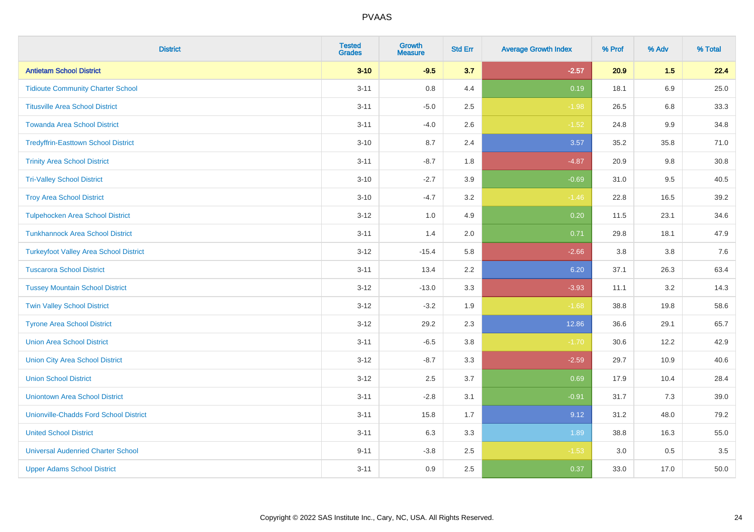| <b>District</b>                               | <b>Tested</b><br><b>Grades</b> | <b>Growth</b><br><b>Measure</b> | <b>Std Err</b> | <b>Average Growth Index</b> | % Prof | % Adv   | % Total |
|-----------------------------------------------|--------------------------------|---------------------------------|----------------|-----------------------------|--------|---------|---------|
| <b>Antietam School District</b>               | $3 - 10$                       | $-9.5$                          | 3.7            | $-2.57$                     | 20.9   | 1.5     | 22.4    |
| <b>Tidioute Community Charter School</b>      | $3 - 11$                       | $0.8\,$                         | 4.4            | 0.19                        | 18.1   | 6.9     | 25.0    |
| <b>Titusville Area School District</b>        | $3 - 11$                       | $-5.0$                          | 2.5            | $-1.98$                     | 26.5   | 6.8     | 33.3    |
| <b>Towanda Area School District</b>           | $3 - 11$                       | $-4.0$                          | 2.6            | $-1.52$                     | 24.8   | $9.9\,$ | 34.8    |
| <b>Tredyffrin-Easttown School District</b>    | $3 - 10$                       | 8.7                             | 2.4            | 3.57                        | 35.2   | 35.8    | 71.0    |
| <b>Trinity Area School District</b>           | $3 - 11$                       | $-8.7$                          | 1.8            | $-4.87$                     | 20.9   | 9.8     | 30.8    |
| <b>Tri-Valley School District</b>             | $3 - 10$                       | $-2.7$                          | 3.9            | $-0.69$                     | 31.0   | 9.5     | 40.5    |
| <b>Troy Area School District</b>              | $3 - 10$                       | $-4.7$                          | 3.2            | $-1.46$                     | 22.8   | 16.5    | 39.2    |
| <b>Tulpehocken Area School District</b>       | $3 - 12$                       | 1.0                             | 4.9            | 0.20                        | 11.5   | 23.1    | 34.6    |
| <b>Tunkhannock Area School District</b>       | $3 - 11$                       | 1.4                             | 2.0            | 0.71                        | 29.8   | 18.1    | 47.9    |
| <b>Turkeyfoot Valley Area School District</b> | $3 - 12$                       | $-15.4$                         | 5.8            | $-2.66$                     | 3.8    | 3.8     | 7.6     |
| <b>Tuscarora School District</b>              | $3 - 11$                       | 13.4                            | 2.2            | 6.20                        | 37.1   | 26.3    | 63.4    |
| <b>Tussey Mountain School District</b>        | $3 - 12$                       | $-13.0$                         | 3.3            | $-3.93$                     | 11.1   | $3.2\,$ | 14.3    |
| <b>Twin Valley School District</b>            | $3 - 12$                       | $-3.2$                          | 1.9            | $-1.68$                     | 38.8   | 19.8    | 58.6    |
| <b>Tyrone Area School District</b>            | $3-12$                         | 29.2                            | 2.3            | 12.86                       | 36.6   | 29.1    | 65.7    |
| <b>Union Area School District</b>             | $3 - 11$                       | $-6.5$                          | 3.8            | $-1.70$                     | 30.6   | 12.2    | 42.9    |
| <b>Union City Area School District</b>        | $3 - 12$                       | $-8.7$                          | 3.3            | $-2.59$                     | 29.7   | 10.9    | 40.6    |
| <b>Union School District</b>                  | $3 - 12$                       | 2.5                             | 3.7            | 0.69                        | 17.9   | 10.4    | 28.4    |
| <b>Uniontown Area School District</b>         | $3 - 11$                       | $-2.8$                          | 3.1            | $-0.91$                     | 31.7   | 7.3     | 39.0    |
| <b>Unionville-Chadds Ford School District</b> | $3 - 11$                       | 15.8                            | 1.7            | 9.12                        | 31.2   | 48.0    | 79.2    |
| <b>United School District</b>                 | $3 - 11$                       | 6.3                             | 3.3            | 1.89                        | 38.8   | 16.3    | 55.0    |
| <b>Universal Audenried Charter School</b>     | $9 - 11$                       | $-3.8$                          | 2.5            | $-1.53$                     | 3.0    | 0.5     | 3.5     |
| <b>Upper Adams School District</b>            | $3 - 11$                       | 0.9                             | 2.5            | 0.37                        | 33.0   | 17.0    | 50.0    |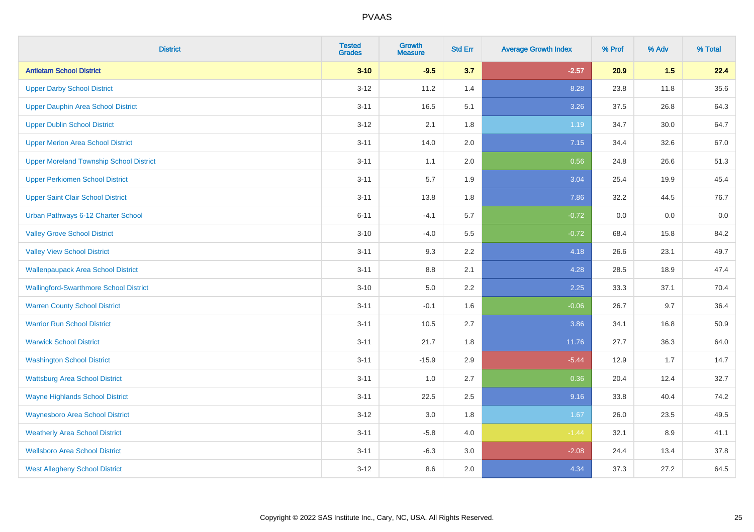| <b>District</b>                                | <b>Tested</b><br><b>Grades</b> | <b>Growth</b><br><b>Measure</b> | <b>Std Err</b> | <b>Average Growth Index</b> | % Prof | % Adv | % Total |
|------------------------------------------------|--------------------------------|---------------------------------|----------------|-----------------------------|--------|-------|---------|
| <b>Antietam School District</b>                | $3 - 10$                       | $-9.5$                          | 3.7            | $-2.57$                     | 20.9   | 1.5   | 22.4    |
| <b>Upper Darby School District</b>             | $3 - 12$                       | 11.2                            | 1.4            | 8.28                        | 23.8   | 11.8  | 35.6    |
| <b>Upper Dauphin Area School District</b>      | $3 - 11$                       | 16.5                            | 5.1            | 3.26                        | 37.5   | 26.8  | 64.3    |
| <b>Upper Dublin School District</b>            | $3-12$                         | 2.1                             | 1.8            | 1.19                        | 34.7   | 30.0  | 64.7    |
| <b>Upper Merion Area School District</b>       | $3 - 11$                       | 14.0                            | 2.0            | 7.15                        | 34.4   | 32.6  | 67.0    |
| <b>Upper Moreland Township School District</b> | $3 - 11$                       | 1.1                             | 2.0            | 0.56                        | 24.8   | 26.6  | 51.3    |
| <b>Upper Perkiomen School District</b>         | $3 - 11$                       | 5.7                             | 1.9            | 3.04                        | 25.4   | 19.9  | 45.4    |
| <b>Upper Saint Clair School District</b>       | $3 - 11$                       | 13.8                            | 1.8            | 7.86                        | 32.2   | 44.5  | 76.7    |
| Urban Pathways 6-12 Charter School             | $6 - 11$                       | $-4.1$                          | 5.7            | $-0.72$                     | 0.0    | 0.0   | $0.0\,$ |
| <b>Valley Grove School District</b>            | $3 - 10$                       | $-4.0$                          | 5.5            | $-0.72$                     | 68.4   | 15.8  | 84.2    |
| <b>Valley View School District</b>             | $3 - 11$                       | 9.3                             | 2.2            | 4.18                        | 26.6   | 23.1  | 49.7    |
| <b>Wallenpaupack Area School District</b>      | $3 - 11$                       | 8.8                             | 2.1            | 4.28                        | 28.5   | 18.9  | 47.4    |
| <b>Wallingford-Swarthmore School District</b>  | $3 - 10$                       | $5.0\,$                         | 2.2            | 2.25                        | 33.3   | 37.1  | 70.4    |
| <b>Warren County School District</b>           | $3 - 11$                       | $-0.1$                          | 1.6            | $-0.06$                     | 26.7   | 9.7   | 36.4    |
| <b>Warrior Run School District</b>             | $3 - 11$                       | 10.5                            | 2.7            | 3.86                        | 34.1   | 16.8  | 50.9    |
| <b>Warwick School District</b>                 | $3 - 11$                       | 21.7                            | 1.8            | 11.76                       | 27.7   | 36.3  | 64.0    |
| <b>Washington School District</b>              | $3 - 11$                       | $-15.9$                         | 2.9            | $-5.44$                     | 12.9   | 1.7   | 14.7    |
| <b>Wattsburg Area School District</b>          | $3 - 11$                       | 1.0                             | 2.7            | 0.36                        | 20.4   | 12.4  | 32.7    |
| <b>Wayne Highlands School District</b>         | $3 - 11$                       | 22.5                            | 2.5            | 9.16                        | 33.8   | 40.4  | 74.2    |
| <b>Waynesboro Area School District</b>         | $3 - 12$                       | 3.0                             | 1.8            | 1.67                        | 26.0   | 23.5  | 49.5    |
| <b>Weatherly Area School District</b>          | $3 - 11$                       | $-5.8$                          | 4.0            | $-1.44$                     | 32.1   | 8.9   | 41.1    |
| <b>Wellsboro Area School District</b>          | $3 - 11$                       | $-6.3$                          | 3.0            | $-2.08$                     | 24.4   | 13.4  | 37.8    |
| <b>West Allegheny School District</b>          | $3 - 12$                       | 8.6                             | 2.0            | 4.34                        | 37.3   | 27.2  | 64.5    |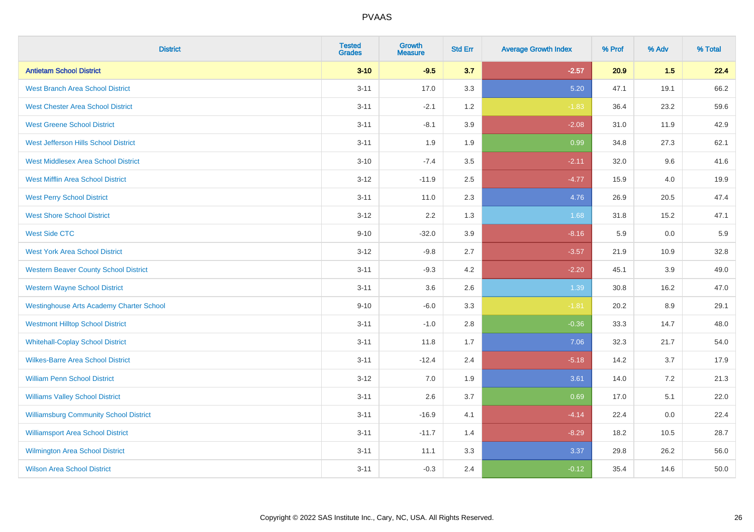| <b>District</b>                                 | <b>Tested</b><br><b>Grades</b> | <b>Growth</b><br><b>Measure</b> | <b>Std Err</b> | <b>Average Growth Index</b> | % Prof | % Adv | % Total |
|-------------------------------------------------|--------------------------------|---------------------------------|----------------|-----------------------------|--------|-------|---------|
| <b>Antietam School District</b>                 | $3 - 10$                       | $-9.5$                          | 3.7            | $-2.57$                     | 20.9   | 1.5   | 22.4    |
| <b>West Branch Area School District</b>         | $3 - 11$                       | 17.0                            | 3.3            | 5.20                        | 47.1   | 19.1  | 66.2    |
| <b>West Chester Area School District</b>        | $3 - 11$                       | $-2.1$                          | 1.2            | $-1.83$                     | 36.4   | 23.2  | 59.6    |
| <b>West Greene School District</b>              | $3 - 11$                       | $-8.1$                          | 3.9            | $-2.08$                     | 31.0   | 11.9  | 42.9    |
| West Jefferson Hills School District            | $3 - 11$                       | 1.9                             | 1.9            | 0.99                        | 34.8   | 27.3  | 62.1    |
| <b>West Middlesex Area School District</b>      | $3 - 10$                       | $-7.4$                          | 3.5            | $-2.11$                     | 32.0   | 9.6   | 41.6    |
| <b>West Mifflin Area School District</b>        | $3 - 12$                       | $-11.9$                         | 2.5            | $-4.77$                     | 15.9   | 4.0   | 19.9    |
| <b>West Perry School District</b>               | $3 - 11$                       | 11.0                            | 2.3            | 4.76                        | 26.9   | 20.5  | 47.4    |
| <b>West Shore School District</b>               | $3 - 12$                       | 2.2                             | 1.3            | 1.68                        | 31.8   | 15.2  | 47.1    |
| <b>West Side CTC</b>                            | $9 - 10$                       | $-32.0$                         | 3.9            | $-8.16$                     | 5.9    | 0.0   | 5.9     |
| <b>West York Area School District</b>           | $3 - 12$                       | $-9.8$                          | 2.7            | $-3.57$                     | 21.9   | 10.9  | 32.8    |
| <b>Western Beaver County School District</b>    | $3 - 11$                       | $-9.3$                          | 4.2            | $-2.20$                     | 45.1   | 3.9   | 49.0    |
| <b>Western Wayne School District</b>            | $3 - 11$                       | 3.6                             | 2.6            | 1.39                        | 30.8   | 16.2  | 47.0    |
| <b>Westinghouse Arts Academy Charter School</b> | $9 - 10$                       | $-6.0$                          | 3.3            | $-1.81$                     | 20.2   | 8.9   | 29.1    |
| <b>Westmont Hilltop School District</b>         | $3 - 11$                       | $-1.0$                          | 2.8            | $-0.36$                     | 33.3   | 14.7  | 48.0    |
| <b>Whitehall-Coplay School District</b>         | $3 - 11$                       | 11.8                            | 1.7            | 7.06                        | 32.3   | 21.7  | 54.0    |
| <b>Wilkes-Barre Area School District</b>        | $3 - 11$                       | $-12.4$                         | 2.4            | $-5.18$                     | 14.2   | 3.7   | 17.9    |
| <b>William Penn School District</b>             | $3 - 12$                       | 7.0                             | 1.9            | 3.61                        | 14.0   | 7.2   | 21.3    |
| <b>Williams Valley School District</b>          | $3 - 11$                       | 2.6                             | 3.7            | 0.69                        | 17.0   | 5.1   | 22.0    |
| <b>Williamsburg Community School District</b>   | $3 - 11$                       | $-16.9$                         | 4.1            | $-4.14$                     | 22.4   | 0.0   | 22.4    |
| <b>Williamsport Area School District</b>        | $3 - 11$                       | $-11.7$                         | 1.4            | $-8.29$                     | 18.2   | 10.5  | 28.7    |
| Wilmington Area School District                 | $3 - 11$                       | 11.1                            | 3.3            | 3.37                        | 29.8   | 26.2  | 56.0    |
| <b>Wilson Area School District</b>              | $3 - 11$                       | $-0.3$                          | 2.4            | $-0.12$                     | 35.4   | 14.6  | 50.0    |